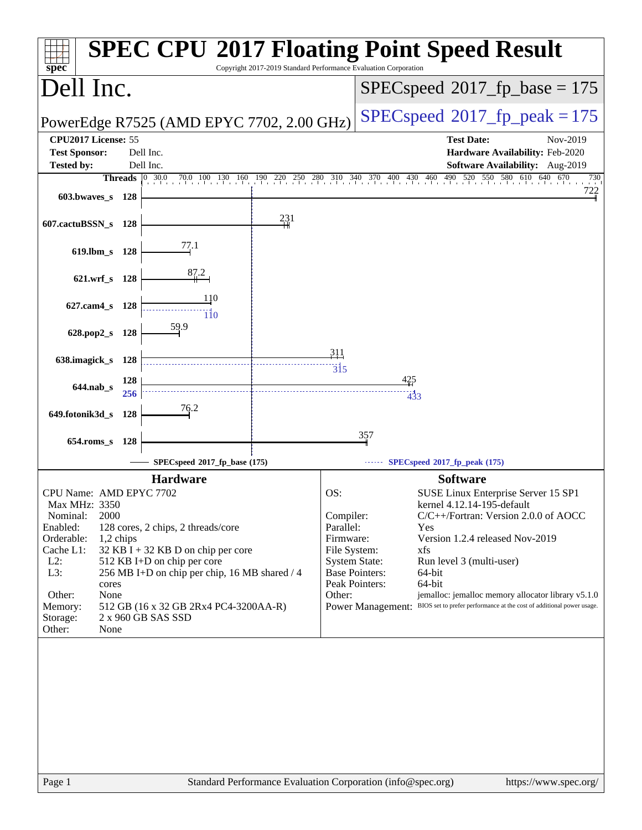| $spec^*$                                    |               |       |                                               | Copyright 2017-2019 Standard Performance Evaluation Corporation |                                     |                          | <b>SPEC CPU®2017 Floating Point Speed Result</b>                                                         |
|---------------------------------------------|---------------|-------|-----------------------------------------------|-----------------------------------------------------------------|-------------------------------------|--------------------------|----------------------------------------------------------------------------------------------------------|
| Dell Inc.                                   |               |       |                                               |                                                                 |                                     |                          | $SPEC speed^{\circ}2017\_fp\_base = 175$                                                                 |
|                                             |               |       | PowerEdge R7525 (AMD EPYC 7702, 2.00 GHz)     |                                                                 |                                     |                          | $SPEC speed^{\circ}2017$ fp peak = 175                                                                   |
| CPU2017 License: 55<br><b>Test Sponsor:</b> |               |       | Dell Inc.                                     |                                                                 |                                     |                          | <b>Test Date:</b><br>Nov-2019<br>Hardware Availability: Feb-2020                                         |
| <b>Tested by:</b>                           |               |       | Dell Inc.                                     |                                                                 |                                     |                          | Software Availability: Aug-2019                                                                          |
|                                             |               |       |                                               |                                                                 |                                     |                          | Threads 0 300 700 100 130 160 190 220 250 280 310 340 370 400 430 460 490 520 550 580 610 640 670<br>730 |
| $603.bwaves$ s 128                          |               |       |                                               |                                                                 |                                     |                          | 722                                                                                                      |
|                                             |               |       |                                               |                                                                 |                                     |                          |                                                                                                          |
| 607.cactuBSSN_s 128                         |               |       |                                               | 231                                                             |                                     |                          |                                                                                                          |
| 619.lbm_s 128                               |               |       | 77.1                                          |                                                                 |                                     |                          |                                                                                                          |
|                                             |               |       |                                               |                                                                 |                                     |                          |                                                                                                          |
|                                             | 621.wrf s 128 |       | 87.2                                          |                                                                 |                                     |                          |                                                                                                          |
| 627.cam4 s 128                              |               |       | 110                                           |                                                                 |                                     |                          |                                                                                                          |
|                                             |               |       | ïio<br>59.9                                   |                                                                 |                                     |                          |                                                                                                          |
| $628.pop2_s$                                |               | - 128 |                                               |                                                                 |                                     |                          |                                                                                                          |
| 638.imagick_s 128                           |               |       |                                               |                                                                 | 311<br>$\overline{3}$ <sup>15</sup> |                          |                                                                                                          |
|                                             |               | 128   |                                               |                                                                 |                                     | 425                      |                                                                                                          |
| $644$ .nab_s                                |               | 256   |                                               |                                                                 |                                     | 433                      |                                                                                                          |
| 649.fotonik3d_s                             |               | 128   | 76.2                                          |                                                                 |                                     |                          |                                                                                                          |
|                                             |               |       |                                               |                                                                 |                                     |                          |                                                                                                          |
| $654$ .roms s                               |               | 128   |                                               |                                                                 |                                     | 357                      |                                                                                                          |
|                                             |               |       | SPECspeed®2017_fp_base (175)                  |                                                                 |                                     |                          | SPECspeed <sup>®</sup> 2017_fp_peak (175)                                                                |
|                                             |               |       | <b>Hardware</b>                               |                                                                 |                                     |                          | <b>Software</b>                                                                                          |
| CPU Name: AMD EPYC 7702                     |               |       |                                               |                                                                 | OS:                                 |                          | SUSE Linux Enterprise Server 15 SP1                                                                      |
| Max MHz: 3350                               | 2000          |       |                                               |                                                                 |                                     |                          | kernel 4.12.14-195-default                                                                               |
| Nominal:<br>Enabled:                        |               |       | 128 cores, 2 chips, 2 threads/core            |                                                                 | Compiler:<br>Parallel:              |                          | C/C++/Fortran: Version 2.0.0 of AOCC<br>Yes                                                              |
| Orderable:                                  | $1,2$ chips   |       |                                               |                                                                 | Firmware:                           |                          | Version 1.2.4 released Nov-2019                                                                          |
| Cache L1:                                   |               |       | $32$ KB I + 32 KB D on chip per core          |                                                                 | File System:                        |                          | xfs                                                                                                      |
| $L2$ :                                      |               |       | 512 KB I+D on chip per core                   |                                                                 | <b>System State:</b>                |                          | Run level 3 (multi-user)                                                                                 |
| L3:                                         |               |       | 256 MB I+D on chip per chip, 16 MB shared / 4 |                                                                 | <b>Base Pointers:</b>               |                          | 64-bit                                                                                                   |
| Other:                                      | cores<br>None |       |                                               |                                                                 | Peak Pointers:<br>Other:            |                          | 64-bit<br>jemalloc: jemalloc memory allocator library v5.1.0                                             |
| Memory:                                     |               |       | 512 GB (16 x 32 GB 2Rx4 PC4-3200AA-R)         |                                                                 |                                     | <b>Power Management:</b> | BIOS set to prefer performance at the cost of additional power usage.                                    |
| Storage:                                    |               |       | 2 x 960 GB SAS SSD                            |                                                                 |                                     |                          |                                                                                                          |
| Other:                                      | None          |       |                                               |                                                                 |                                     |                          |                                                                                                          |
|                                             |               |       |                                               |                                                                 |                                     |                          |                                                                                                          |
|                                             |               |       |                                               |                                                                 |                                     |                          |                                                                                                          |
|                                             |               |       |                                               |                                                                 |                                     |                          |                                                                                                          |
|                                             |               |       |                                               |                                                                 |                                     |                          |                                                                                                          |
|                                             |               |       |                                               |                                                                 |                                     |                          |                                                                                                          |
|                                             |               |       |                                               |                                                                 |                                     |                          |                                                                                                          |
|                                             |               |       |                                               |                                                                 |                                     |                          |                                                                                                          |
|                                             |               |       |                                               |                                                                 |                                     |                          |                                                                                                          |
|                                             |               |       |                                               |                                                                 |                                     |                          |                                                                                                          |
|                                             |               |       |                                               |                                                                 |                                     |                          |                                                                                                          |
| Page 1                                      |               |       |                                               | Standard Performance Evaluation Corporation (info@spec.org)     |                                     |                          | https://www.spec.org/                                                                                    |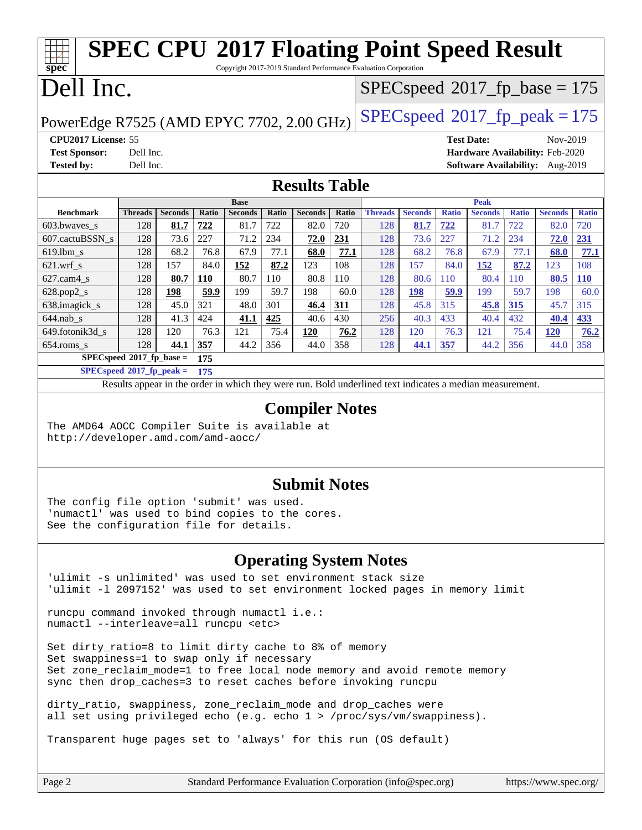#### **[spec](http://www.spec.org/) [SPEC CPU](http://www.spec.org/auto/cpu2017/Docs/result-fields.html#SPECCPU2017FloatingPointSpeedResult)[2017 Floating Point Speed Result](http://www.spec.org/auto/cpu2017/Docs/result-fields.html#SPECCPU2017FloatingPointSpeedResult)** Copyright 2017-2019 Standard Performance Evaluation Corporation Dell Inc. PowerEdge R7525 (AMD EPYC 7702, 2.00 GHz)  $\left|$  [SPECspeed](http://www.spec.org/auto/cpu2017/Docs/result-fields.html#SPECspeed2017fppeak)<sup>®</sup>[2017\\_fp\\_peak = 1](http://www.spec.org/auto/cpu2017/Docs/result-fields.html#SPECspeed2017fppeak)75 [SPECspeed](http://www.spec.org/auto/cpu2017/Docs/result-fields.html#SPECspeed2017fpbase)<sup>®</sup>2017 fp base = 175 **[CPU2017 License:](http://www.spec.org/auto/cpu2017/Docs/result-fields.html#CPU2017License)** 55 **[Test Date:](http://www.spec.org/auto/cpu2017/Docs/result-fields.html#TestDate)** Nov-2019 **[Test Sponsor:](http://www.spec.org/auto/cpu2017/Docs/result-fields.html#TestSponsor)** Dell Inc. **[Hardware Availability:](http://www.spec.org/auto/cpu2017/Docs/result-fields.html#HardwareAvailability)** Feb-2020 **[Tested by:](http://www.spec.org/auto/cpu2017/Docs/result-fields.html#Testedby)** Dell Inc. **[Software Availability:](http://www.spec.org/auto/cpu2017/Docs/result-fields.html#SoftwareAvailability)** Aug-2019 **[Results Table](http://www.spec.org/auto/cpu2017/Docs/result-fields.html#ResultsTable) [Benchmark](http://www.spec.org/auto/cpu2017/Docs/result-fields.html#Benchmark) [Threads](http://www.spec.org/auto/cpu2017/Docs/result-fields.html#Threads) [Seconds](http://www.spec.org/auto/cpu2017/Docs/result-fields.html#Seconds) [Ratio](http://www.spec.org/auto/cpu2017/Docs/result-fields.html#Ratio) [Seconds](http://www.spec.org/auto/cpu2017/Docs/result-fields.html#Seconds) [Ratio](http://www.spec.org/auto/cpu2017/Docs/result-fields.html#Ratio) [Seconds](http://www.spec.org/auto/cpu2017/Docs/result-fields.html#Seconds) [Ratio](http://www.spec.org/auto/cpu2017/Docs/result-fields.html#Ratio) Base [Threads](http://www.spec.org/auto/cpu2017/Docs/result-fields.html#Threads) [Seconds](http://www.spec.org/auto/cpu2017/Docs/result-fields.html#Seconds) [Ratio](http://www.spec.org/auto/cpu2017/Docs/result-fields.html#Ratio) [Seconds](http://www.spec.org/auto/cpu2017/Docs/result-fields.html#Seconds) [Ratio](http://www.spec.org/auto/cpu2017/Docs/result-fields.html#Ratio) [Seconds](http://www.spec.org/auto/cpu2017/Docs/result-fields.html#Seconds) [Ratio](http://www.spec.org/auto/cpu2017/Docs/result-fields.html#Ratio) Peak** [603.bwaves\\_s](http://www.spec.org/auto/cpu2017/Docs/benchmarks/603.bwaves_s.html) 128 **[81.7](http://www.spec.org/auto/cpu2017/Docs/result-fields.html#Median) [722](http://www.spec.org/auto/cpu2017/Docs/result-fields.html#Median)** 81.7 722 82.0 720 128 **[81.7](http://www.spec.org/auto/cpu2017/Docs/result-fields.html#Median) [722](http://www.spec.org/auto/cpu2017/Docs/result-fields.html#Median)** 81.7 722 82.0 720 [607.cactuBSSN\\_s](http://www.spec.org/auto/cpu2017/Docs/benchmarks/607.cactuBSSN_s.html) 128 73.6 227 71.2 234 **[72.0](http://www.spec.org/auto/cpu2017/Docs/result-fields.html#Median) [231](http://www.spec.org/auto/cpu2017/Docs/result-fields.html#Median)** 128 73.6 227 71.2 234 **[72.0](http://www.spec.org/auto/cpu2017/Docs/result-fields.html#Median) [231](http://www.spec.org/auto/cpu2017/Docs/result-fields.html#Median)** [619.lbm\\_s](http://www.spec.org/auto/cpu2017/Docs/benchmarks/619.lbm_s.html) 128 68.2 76.8 67.9 77.1 **[68.0](http://www.spec.org/auto/cpu2017/Docs/result-fields.html#Median) [77.1](http://www.spec.org/auto/cpu2017/Docs/result-fields.html#Median)** 128 68.2 76.8 67.9 77.1 **[68.0](http://www.spec.org/auto/cpu2017/Docs/result-fields.html#Median) [77.1](http://www.spec.org/auto/cpu2017/Docs/result-fields.html#Median)** [621.wrf\\_s](http://www.spec.org/auto/cpu2017/Docs/benchmarks/621.wrf_s.html) 128 157 84.0 **[152](http://www.spec.org/auto/cpu2017/Docs/result-fields.html#Median) [87.2](http://www.spec.org/auto/cpu2017/Docs/result-fields.html#Median)** 123 108 128 157 84.0 **[152](http://www.spec.org/auto/cpu2017/Docs/result-fields.html#Median) [87.2](http://www.spec.org/auto/cpu2017/Docs/result-fields.html#Median)** 123 108 [627.cam4\\_s](http://www.spec.org/auto/cpu2017/Docs/benchmarks/627.cam4_s.html) 128 **[80.7](http://www.spec.org/auto/cpu2017/Docs/result-fields.html#Median) [110](http://www.spec.org/auto/cpu2017/Docs/result-fields.html#Median)** 80.7 110 80.8 110 128 80.6 110 80.4 110 **[80.5](http://www.spec.org/auto/cpu2017/Docs/result-fields.html#Median) [110](http://www.spec.org/auto/cpu2017/Docs/result-fields.html#Median)** [628.pop2\\_s](http://www.spec.org/auto/cpu2017/Docs/benchmarks/628.pop2_s.html) 128 **[198](http://www.spec.org/auto/cpu2017/Docs/result-fields.html#Median) [59.9](http://www.spec.org/auto/cpu2017/Docs/result-fields.html#Median)** 199 59.7 198 60.0 128 **[198](http://www.spec.org/auto/cpu2017/Docs/result-fields.html#Median) [59.9](http://www.spec.org/auto/cpu2017/Docs/result-fields.html#Median)** 199 59.7 198 60.0 [638.imagick\\_s](http://www.spec.org/auto/cpu2017/Docs/benchmarks/638.imagick_s.html) 128 45.0 321 48.0 301 **[46.4](http://www.spec.org/auto/cpu2017/Docs/result-fields.html#Median) [311](http://www.spec.org/auto/cpu2017/Docs/result-fields.html#Median)** 128 45.8 315 **[45.8](http://www.spec.org/auto/cpu2017/Docs/result-fields.html#Median) [315](http://www.spec.org/auto/cpu2017/Docs/result-fields.html#Median)** 45.7 315 [644.nab\\_s](http://www.spec.org/auto/cpu2017/Docs/benchmarks/644.nab_s.html) 128 41.3 424 **[41.1](http://www.spec.org/auto/cpu2017/Docs/result-fields.html#Median) [425](http://www.spec.org/auto/cpu2017/Docs/result-fields.html#Median)** 40.6 430 256 40.3 433 40.4 432 **[40.4](http://www.spec.org/auto/cpu2017/Docs/result-fields.html#Median) [433](http://www.spec.org/auto/cpu2017/Docs/result-fields.html#Median)** [649.fotonik3d\\_s](http://www.spec.org/auto/cpu2017/Docs/benchmarks/649.fotonik3d_s.html) 128 120 76.3 121 75.4 **[120](http://www.spec.org/auto/cpu2017/Docs/result-fields.html#Median) [76.2](http://www.spec.org/auto/cpu2017/Docs/result-fields.html#Median)** 128 120 76.3 121 75.4 **[120](http://www.spec.org/auto/cpu2017/Docs/result-fields.html#Median) [76.2](http://www.spec.org/auto/cpu2017/Docs/result-fields.html#Median)** [654.roms\\_s](http://www.spec.org/auto/cpu2017/Docs/benchmarks/654.roms_s.html) 128 **[44.1](http://www.spec.org/auto/cpu2017/Docs/result-fields.html#Median) [357](http://www.spec.org/auto/cpu2017/Docs/result-fields.html#Median)** 44.2 356 44.0 358 128 **[44.1](http://www.spec.org/auto/cpu2017/Docs/result-fields.html#Median) [357](http://www.spec.org/auto/cpu2017/Docs/result-fields.html#Median)** 44.2 356 44.0 358 **[SPECspeed](http://www.spec.org/auto/cpu2017/Docs/result-fields.html#SPECspeed2017fpbase)[2017\\_fp\\_base =](http://www.spec.org/auto/cpu2017/Docs/result-fields.html#SPECspeed2017fpbase) 175 [SPECspeed](http://www.spec.org/auto/cpu2017/Docs/result-fields.html#SPECspeed2017fppeak)[2017\\_fp\\_peak =](http://www.spec.org/auto/cpu2017/Docs/result-fields.html#SPECspeed2017fppeak) 175** Results appear in the [order in which they were run.](http://www.spec.org/auto/cpu2017/Docs/result-fields.html#RunOrder) Bold underlined text [indicates a median measurement](http://www.spec.org/auto/cpu2017/Docs/result-fields.html#Median).

### **[Compiler Notes](http://www.spec.org/auto/cpu2017/Docs/result-fields.html#CompilerNotes)**

The AMD64 AOCC Compiler Suite is available at <http://developer.amd.com/amd-aocc/>

### **[Submit Notes](http://www.spec.org/auto/cpu2017/Docs/result-fields.html#SubmitNotes)**

The config file option 'submit' was used. 'numactl' was used to bind copies to the cores. See the configuration file for details.

### **[Operating System Notes](http://www.spec.org/auto/cpu2017/Docs/result-fields.html#OperatingSystemNotes)**

'ulimit -s unlimited' was used to set environment stack size 'ulimit -l 2097152' was used to set environment locked pages in memory limit

runcpu command invoked through numactl i.e.: numactl --interleave=all runcpu <etc>

Set dirty\_ratio=8 to limit dirty cache to 8% of memory Set swappiness=1 to swap only if necessary Set zone\_reclaim\_mode=1 to free local node memory and avoid remote memory sync then drop\_caches=3 to reset caches before invoking runcpu

dirty ratio, swappiness, zone reclaim mode and drop caches were all set using privileged echo (e.g. echo 1 > /proc/sys/vm/swappiness).

Transparent huge pages set to 'always' for this run (OS default)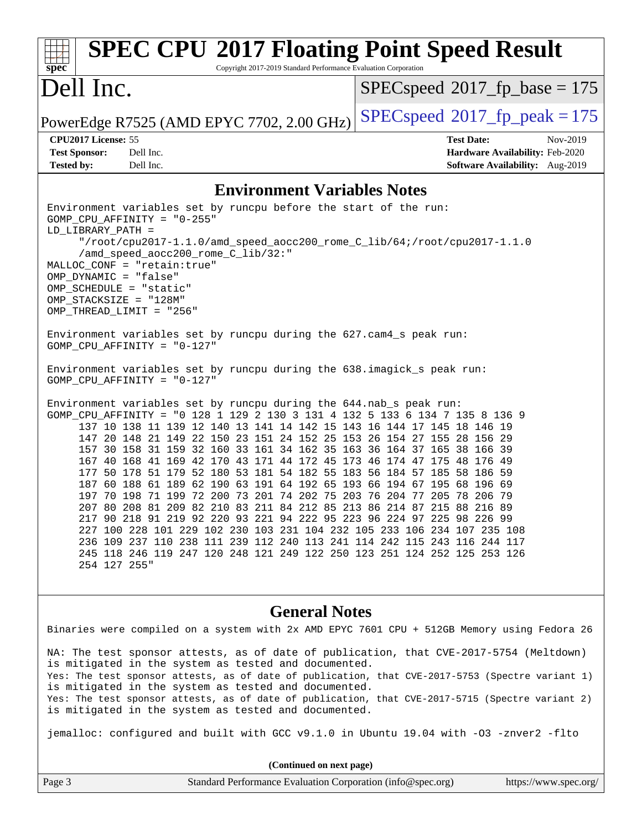#### **[spec](http://www.spec.org/) [SPEC CPU](http://www.spec.org/auto/cpu2017/Docs/result-fields.html#SPECCPU2017FloatingPointSpeedResult)[2017 Floating Point Speed Result](http://www.spec.org/auto/cpu2017/Docs/result-fields.html#SPECCPU2017FloatingPointSpeedResult)** Copyright 2017-2019 Standard Performance Evaluation Corporation Dell Inc. PowerEdge R7525 (AMD EPYC 7702, 2.00 GHz)  $\left|$  [SPECspeed](http://www.spec.org/auto/cpu2017/Docs/result-fields.html#SPECspeed2017fppeak)<sup>®</sup>[2017\\_fp\\_peak = 1](http://www.spec.org/auto/cpu2017/Docs/result-fields.html#SPECspeed2017fppeak)75 [SPECspeed](http://www.spec.org/auto/cpu2017/Docs/result-fields.html#SPECspeed2017fpbase)<sup>®</sup>2017 fp base = 175 **[CPU2017 License:](http://www.spec.org/auto/cpu2017/Docs/result-fields.html#CPU2017License)** 55 **[Test Date:](http://www.spec.org/auto/cpu2017/Docs/result-fields.html#TestDate)** Nov-2019 **[Test Sponsor:](http://www.spec.org/auto/cpu2017/Docs/result-fields.html#TestSponsor)** Dell Inc. **[Hardware Availability:](http://www.spec.org/auto/cpu2017/Docs/result-fields.html#HardwareAvailability)** Feb-2020 **[Tested by:](http://www.spec.org/auto/cpu2017/Docs/result-fields.html#Testedby)** Dell Inc. **[Software Availability:](http://www.spec.org/auto/cpu2017/Docs/result-fields.html#SoftwareAvailability)** Aug-2019 **[Environment Variables Notes](http://www.spec.org/auto/cpu2017/Docs/result-fields.html#EnvironmentVariablesNotes)** Environment variables set by runcpu before the start of the run: GOMP\_CPU\_AFFINITY = "0-255" LD\_LIBRARY\_PATH = "/root/cpu2017-1.1.0/amd\_speed\_aocc200\_rome\_C\_lib/64;/root/cpu2017-1.1.0 /amd\_speed\_aocc200\_rome\_C\_lib/32:" MALLOC\_CONF = "retain:true" OMP\_DYNAMIC = "false" OMP\_SCHEDULE = "static" OMP\_STACKSIZE = "128M" OMP\_THREAD\_LIMIT = "256" Environment variables set by runcpu during the 627.cam4\_s peak run: GOMP\_CPU\_AFFINITY = "0-127" Environment variables set by runcpu during the 638.imagick\_s peak run: GOMP\_CPU\_AFFINITY = "0-127" Environment variables set by runcpu during the 644.nab\_s peak run: GOMP\_CPU\_AFFINITY = "0 128 1 129 2 130 3 131 4 132 5 133 6 134 7 135 8 136 9 137 10 138 11 139 12 140 13 141 14 142 15 143 16 144 17 145 18 146 19 147 20 148 21 149 22 150 23 151 24 152 25 153 26 154 27 155 28 156 29 157 30 158 31 159 32 160 33 161 34 162 35 163 36 164 37 165 38 166 39 167 40 168 41 169 42 170 43 171 44 172 45 173 46 174 47 175 48 176 49 177 50 178 51 179 52 180 53 181 54 182 55 183 56 184 57 185 58 186 59 187 60 188 61 189 62 190 63 191 64 192 65 193 66 194 67 195 68 196 69 197 70 198 71 199 72 200 73 201 74 202 75 203 76 204 77 205 78 206 79 207 80 208 81 209 82 210 83 211 84 212 85 213 86 214 87 215 88 216 89 217 90 218 91 219 92 220 93 221 94 222 95 223 96 224 97 225 98 226 99 227 100 228 101 229 102 230 103 231 104 232 105 233 106 234 107 235 108 236 109 237 110 238 111 239 112 240 113 241 114 242 115 243 116 244 117 245 118 246 119 247 120 248 121 249 122 250 123 251 124 252 125 253 126 254 127 255"

#### **[General Notes](http://www.spec.org/auto/cpu2017/Docs/result-fields.html#GeneralNotes)**

Binaries were compiled on a system with 2x AMD EPYC 7601 CPU + 512GB Memory using Fedora 26 NA: The test sponsor attests, as of date of publication, that CVE-2017-5754 (Meltdown) is mitigated in the system as tested and documented. Yes: The test sponsor attests, as of date of publication, that CVE-2017-5753 (Spectre variant 1) is mitigated in the system as tested and documented. Yes: The test sponsor attests, as of date of publication, that CVE-2017-5715 (Spectre variant 2) is mitigated in the system as tested and documented.

jemalloc: configured and built with GCC v9.1.0 in Ubuntu 19.04 with -O3 -znver2 -flto

|        | (Continued on next page)                                    |                       |
|--------|-------------------------------------------------------------|-----------------------|
| Page 3 | Standard Performance Evaluation Corporation (info@spec.org) | https://www.spec.org/ |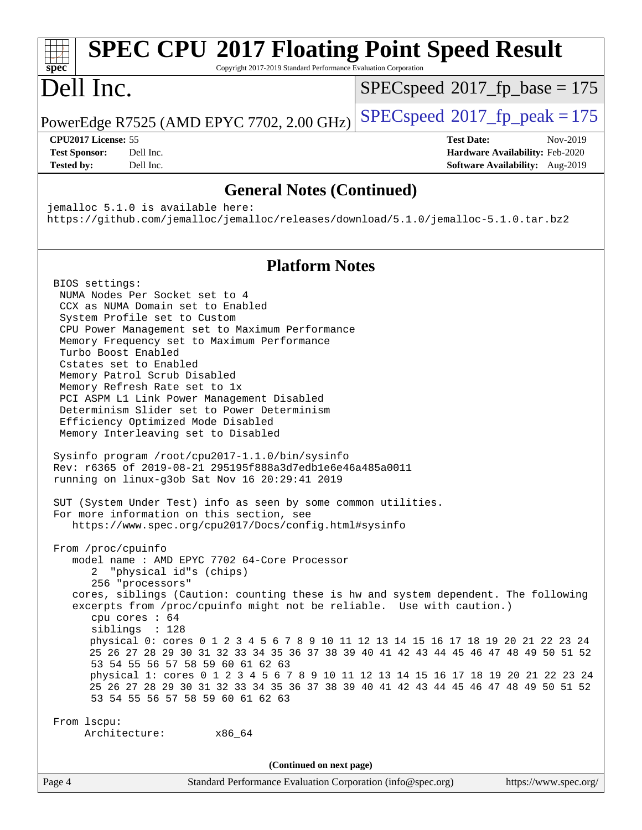#### **[spec](http://www.spec.org/) [SPEC CPU](http://www.spec.org/auto/cpu2017/Docs/result-fields.html#SPECCPU2017FloatingPointSpeedResult)[2017 Floating Point Speed Result](http://www.spec.org/auto/cpu2017/Docs/result-fields.html#SPECCPU2017FloatingPointSpeedResult)** Copyright 2017-2019 Standard Performance Evaluation Corporation Dell Inc. PowerEdge R7525 (AMD EPYC 7702, 2.00 GHz)  $\left|$  [SPECspeed](http://www.spec.org/auto/cpu2017/Docs/result-fields.html#SPECspeed2017fppeak)<sup>®</sup>[2017\\_fp\\_peak = 1](http://www.spec.org/auto/cpu2017/Docs/result-fields.html#SPECspeed2017fppeak)75 [SPECspeed](http://www.spec.org/auto/cpu2017/Docs/result-fields.html#SPECspeed2017fpbase)<sup>®</sup>2017 fp base = 175 **[CPU2017 License:](http://www.spec.org/auto/cpu2017/Docs/result-fields.html#CPU2017License)** 55 **[Test Date:](http://www.spec.org/auto/cpu2017/Docs/result-fields.html#TestDate)** Nov-2019 **[Test Sponsor:](http://www.spec.org/auto/cpu2017/Docs/result-fields.html#TestSponsor)** Dell Inc. **[Hardware Availability:](http://www.spec.org/auto/cpu2017/Docs/result-fields.html#HardwareAvailability)** Feb-2020 **[Tested by:](http://www.spec.org/auto/cpu2017/Docs/result-fields.html#Testedby)** Dell Inc. **[Software Availability:](http://www.spec.org/auto/cpu2017/Docs/result-fields.html#SoftwareAvailability)** Aug-2019 **[General Notes \(Continued\)](http://www.spec.org/auto/cpu2017/Docs/result-fields.html#GeneralNotes)** jemalloc 5.1.0 is available here: <https://github.com/jemalloc/jemalloc/releases/download/5.1.0/jemalloc-5.1.0.tar.bz2> **[Platform Notes](http://www.spec.org/auto/cpu2017/Docs/result-fields.html#PlatformNotes)** BIOS settings: NUMA Nodes Per Socket set to 4 CCX as NUMA Domain set to Enabled System Profile set to Custom CPU Power Management set to Maximum Performance Memory Frequency set to Maximum Performance Turbo Boost Enabled Cstates set to Enabled Memory Patrol Scrub Disabled Memory Refresh Rate set to 1x PCI ASPM L1 Link Power Management Disabled Determinism Slider set to Power Determinism Efficiency Optimized Mode Disabled Memory Interleaving set to Disabled Sysinfo program /root/cpu2017-1.1.0/bin/sysinfo Rev: r6365 of 2019-08-21 295195f888a3d7edb1e6e46a485a0011 running on linux-g3ob Sat Nov 16 20:29:41 2019 SUT (System Under Test) info as seen by some common utilities. For more information on this section, see <https://www.spec.org/cpu2017/Docs/config.html#sysinfo> From /proc/cpuinfo model name : AMD EPYC 7702 64-Core Processor 2 "physical id"s (chips) 256 "processors" cores, siblings (Caution: counting these is hw and system dependent. The following excerpts from /proc/cpuinfo might not be reliable. Use with caution.) cpu cores : 64 siblings : 128 physical 0: cores 0 1 2 3 4 5 6 7 8 9 10 11 12 13 14 15 16 17 18 19 20 21 22 23 24 25 26 27 28 29 30 31 32 33 34 35 36 37 38 39 40 41 42 43 44 45 46 47 48 49 50 51 52 53 54 55 56 57 58 59 60 61 62 63 physical 1: cores 0 1 2 3 4 5 6 7 8 9 10 11 12 13 14 15 16 17 18 19 20 21 22 23 24 25 26 27 28 29 30 31 32 33 34 35 36 37 38 39 40 41 42 43 44 45 46 47 48 49 50 51 52 53 54 55 56 57 58 59 60 61 62 63 From lscpu: Architecture: x86\_64 **(Continued on next page)**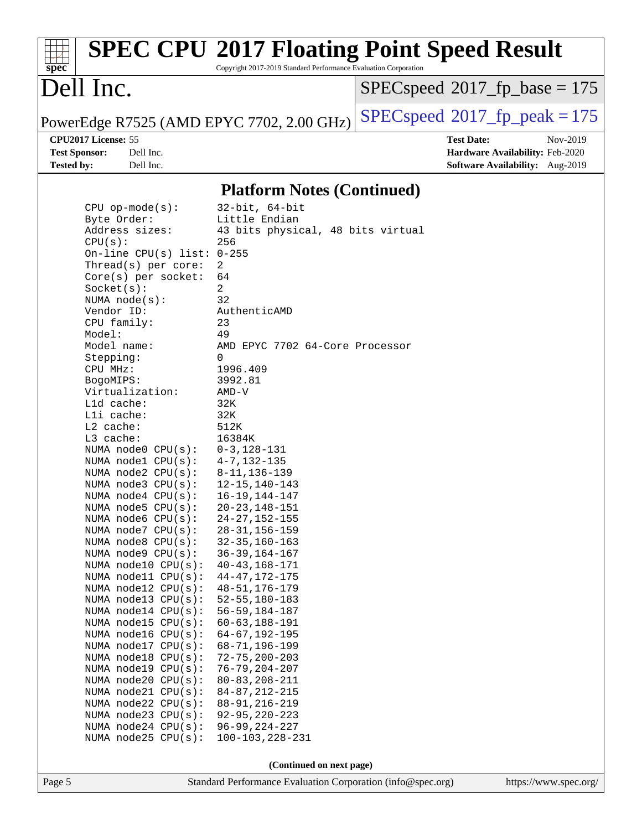# **[spec](http://www.spec.org/)**

## **[SPEC CPU](http://www.spec.org/auto/cpu2017/Docs/result-fields.html#SPECCPU2017FloatingPointSpeedResult)[2017 Floating Point Speed Result](http://www.spec.org/auto/cpu2017/Docs/result-fields.html#SPECCPU2017FloatingPointSpeedResult)**

Copyright 2017-2019 Standard Performance Evaluation Corporation

## Dell Inc.

 $SPEC speed$ <sup>®</sup> $2017$ \_fp\_base = 175

PowerEdge R7525 (AMD EPYC 7702, 2.00 GHz)  $\left|$  [SPECspeed](http://www.spec.org/auto/cpu2017/Docs/result-fields.html#SPECspeed2017fppeak)<sup>®</sup>[2017\\_fp\\_peak = 1](http://www.spec.org/auto/cpu2017/Docs/result-fields.html#SPECspeed2017fppeak)75

**[Tested by:](http://www.spec.org/auto/cpu2017/Docs/result-fields.html#Testedby)** Dell Inc. **[Software Availability:](http://www.spec.org/auto/cpu2017/Docs/result-fields.html#SoftwareAvailability)** Aug-2019

**[CPU2017 License:](http://www.spec.org/auto/cpu2017/Docs/result-fields.html#CPU2017License)** 55 **[Test Date:](http://www.spec.org/auto/cpu2017/Docs/result-fields.html#TestDate)** Nov-2019 **[Test Sponsor:](http://www.spec.org/auto/cpu2017/Docs/result-fields.html#TestSponsor)** Dell Inc. **[Hardware Availability:](http://www.spec.org/auto/cpu2017/Docs/result-fields.html#HardwareAvailability)** Feb-2020

### **[Platform Notes \(Continued\)](http://www.spec.org/auto/cpu2017/Docs/result-fields.html#PlatformNotes)**

| Page 5 |                                                  | Standard Performance Evaluation Corporation (info@spec.org) | https://www.spec.org/ |
|--------|--------------------------------------------------|-------------------------------------------------------------|-----------------------|
|        |                                                  | (Continued on next page)                                    |                       |
|        |                                                  |                                                             |                       |
|        | NUMA node25 CPU(s):                              | $100 - 103, 228 - 231$                                      |                       |
|        | NUMA node24 CPU(s):                              | $96 - 99, 224 - 227$                                        |                       |
|        | NUMA node23 CPU(s):                              | $92 - 95, 220 - 223$                                        |                       |
|        | NUMA node22 CPU(s):                              | 88-91, 216-219                                              |                       |
|        | NUMA $node20$ CPU $(s)$ :<br>NUMA node21 CPU(s): | $80 - 83, 208 - 211$<br>$84 - 87, 212 - 215$                |                       |
|        | NUMA node19 CPU(s):                              | $76 - 79, 204 - 207$                                        |                       |
|        | NUMA node18 CPU(s):                              | $72 - 75, 200 - 203$                                        |                       |
|        | NUMA node17 CPU(s):                              | $68 - 71, 196 - 199$                                        |                       |
|        | NUMA node16 $CPU(s):$                            | $64 - 67, 192 - 195$                                        |                       |
|        | NUMA $model5$ CPU $(s):$                         | $60 - 63, 188 - 191$                                        |                       |
|        | NUMA $model4$ CPU $(s):$                         | $56 - 59, 184 - 187$                                        |                       |
|        | NUMA $node13$ $CPU(s):$                          | $52 - 55, 180 - 183$                                        |                       |
|        | NUMA $model2$ CPU $(s):$                         | $48 - 51, 176 - 179$                                        |                       |
|        | NUMA node11 CPU(s):                              | $44 - 47, 172 - 175$                                        |                       |
|        | NUMA node10 CPU(s):                              | $40 - 43, 168 - 171$                                        |                       |
|        | NUMA node9 CPU(s):                               | $36 - 39, 164 - 167$                                        |                       |
|        | NUMA $node8$ CPU $(s)$ :                         | $32 - 35, 160 - 163$                                        |                       |
|        | NUMA $node7$ CPU $(s):$                          | $28 - 31, 156 - 159$                                        |                       |
|        | NUMA $node6$ $CPU(s):$                           | $24 - 27, 152 - 155$                                        |                       |
|        | NUMA $node5$ $CPU(s):$                           | $20 - 23, 148 - 151$                                        |                       |
|        | NUMA $node4$ $CPU(s):$                           | $16 - 19, 144 - 147$                                        |                       |
|        | NUMA $node3$ $CPU(s):$                           | $12 - 15, 140 - 143$                                        |                       |
|        | NUMA $node2$ $CPU(s)$ :                          | $8 - 11, 136 - 139$                                         |                       |
|        | NUMA $model$ $CPU(s):$                           | $4 - 7, 132 - 135$                                          |                       |
|        | NUMA node0 CPU(s):                               | $0 - 3, 128 - 131$                                          |                       |
|        | L3 cache:                                        | 16384K                                                      |                       |
|        | L2 cache:                                        | 512K                                                        |                       |
|        | Lli cache:                                       | 32K                                                         |                       |
|        | L1d cache:                                       | 32K                                                         |                       |
|        | Virtualization:                                  | AMD-V                                                       |                       |
|        | BogoMIPS:                                        | 3992.81                                                     |                       |
|        | CPU MHz:                                         | 1996.409                                                    |                       |
|        | Stepping:                                        | 0                                                           |                       |
|        | Model name:                                      | AMD EPYC 7702 64-Core Processor                             |                       |
|        | Model:                                           | 49                                                          |                       |
|        | CPU family:                                      | 23                                                          |                       |
|        | Vendor ID:                                       | AuthenticAMD                                                |                       |
|        | NUMA $node(s):$                                  | 32                                                          |                       |
|        | Socket(s):                                       | $\overline{a}$                                              |                       |
|        | $Core(s)$ per socket:                            | 64                                                          |                       |
|        | Thread( $s$ ) per core:                          | 2                                                           |                       |
|        | On-line CPU(s) list: $0-255$                     |                                                             |                       |
|        | CPU(s):                                          | 256                                                         |                       |
|        | Address sizes:                                   | 43 bits physical, 48 bits virtual                           |                       |
|        | Byte Order:                                      | Little Endian                                               |                       |
|        | $CPU$ op-mode( $s$ ):                            | $32$ -bit, $64$ -bit                                        |                       |
|        |                                                  |                                                             |                       |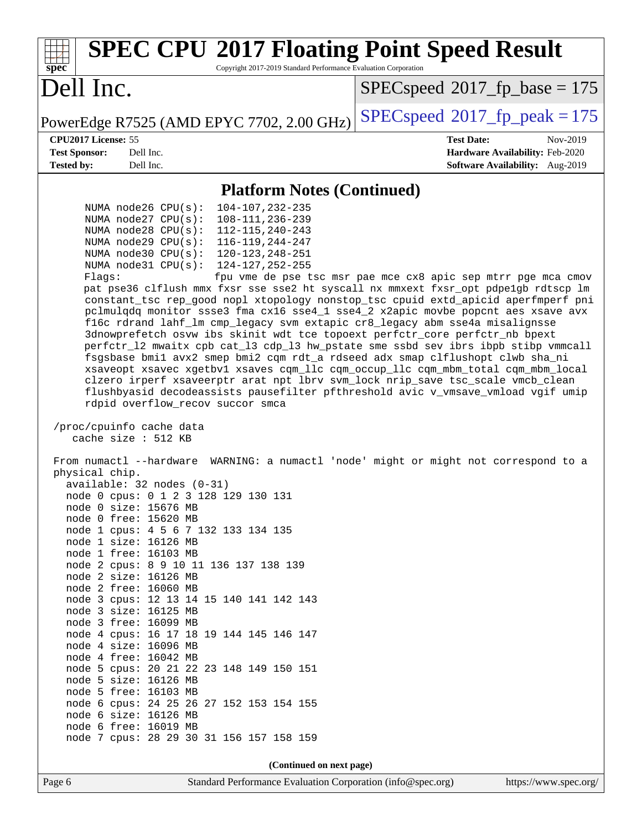| <b>SPEC CPU®2017 Floating Point Speed Result</b><br>Copyright 2017-2019 Standard Performance Evaluation Corporation<br>spec <sup>®</sup>                                                                                                                                                                                                                                                                                                                                                                                                                                                                                                                                                                                                                                                                                                                                                                                                                                                                                                                                                                                                                                                         |                                                               |
|--------------------------------------------------------------------------------------------------------------------------------------------------------------------------------------------------------------------------------------------------------------------------------------------------------------------------------------------------------------------------------------------------------------------------------------------------------------------------------------------------------------------------------------------------------------------------------------------------------------------------------------------------------------------------------------------------------------------------------------------------------------------------------------------------------------------------------------------------------------------------------------------------------------------------------------------------------------------------------------------------------------------------------------------------------------------------------------------------------------------------------------------------------------------------------------------------|---------------------------------------------------------------|
| Dell Inc.                                                                                                                                                                                                                                                                                                                                                                                                                                                                                                                                                                                                                                                                                                                                                                                                                                                                                                                                                                                                                                                                                                                                                                                        | $SPEC speed^{\circ}2017\_fp\_base = 175$                      |
| PowerEdge R7525 (AMD EPYC 7702, 2.00 GHz)                                                                                                                                                                                                                                                                                                                                                                                                                                                                                                                                                                                                                                                                                                                                                                                                                                                                                                                                                                                                                                                                                                                                                        | $SPEC speed^{\circ}2017$ fp peak = 175                        |
| CPU2017 License: 55                                                                                                                                                                                                                                                                                                                                                                                                                                                                                                                                                                                                                                                                                                                                                                                                                                                                                                                                                                                                                                                                                                                                                                              | <b>Test Date:</b><br>Nov-2019                                 |
| <b>Test Sponsor:</b><br>Dell Inc.<br>Dell Inc.                                                                                                                                                                                                                                                                                                                                                                                                                                                                                                                                                                                                                                                                                                                                                                                                                                                                                                                                                                                                                                                                                                                                                   | Hardware Availability: Feb-2020                               |
| <b>Tested by:</b>                                                                                                                                                                                                                                                                                                                                                                                                                                                                                                                                                                                                                                                                                                                                                                                                                                                                                                                                                                                                                                                                                                                                                                                | Software Availability: Aug-2019                               |
| <b>Platform Notes (Continued)</b>                                                                                                                                                                                                                                                                                                                                                                                                                                                                                                                                                                                                                                                                                                                                                                                                                                                                                                                                                                                                                                                                                                                                                                |                                                               |
| NUMA node26 CPU(s):<br>104-107, 232-235<br>NUMA $node27$ CPU $(s):$<br>108-111, 236-239<br>NUMA node28 CPU(s):<br>112-115, 240-243<br>116-119, 244-247<br>NUMA $node29$ CPU $(s):$<br>NUMA $node30$ CPU $(s)$ :<br>120-123, 248-251<br>124-127, 252-255<br>NUMA $node31$ CPU $(s):$<br>Flaqs:<br>pat pse36 clflush mmx fxsr sse sse2 ht syscall nx mmxext fxsr_opt pdpelgb rdtscp lm<br>constant_tsc rep_good nopl xtopology nonstop_tsc cpuid extd_apicid aperfmperf pni<br>pclmulqdq monitor ssse3 fma cx16 sse4_1 sse4_2 x2apic movbe popcnt aes xsave avx<br>f16c rdrand lahf_lm cmp_legacy svm extapic cr8_legacy abm sse4a misalignsse<br>3dnowprefetch osvw ibs skinit wdt tce topoext perfctr_core perfctr_nb bpext<br>perfctr_12 mwaitx cpb cat_13 cdp_13 hw_pstate sme ssbd sev ibrs ibpb stibp vmmcall<br>fsgsbase bmil avx2 smep bmi2 cqm rdt_a rdseed adx smap clflushopt clwb sha_ni<br>xsaveopt xsavec xgetbvl xsaves cqm_llc cqm_occup_llc cqm_mbm_total cqm_mbm_local<br>clzero irperf xsaveerptr arat npt lbrv svm_lock nrip_save tsc_scale vmcb_clean<br>flushbyasid decodeassists pausefilter pfthreshold avic v_vmsave_vmload vgif umip<br>rdpid overflow_recov succor smca | fpu vme de pse tsc msr pae mce cx8 apic sep mtrr pge mca cmov |
| /proc/cpuinfo cache data<br>cache size : 512 KB                                                                                                                                                                                                                                                                                                                                                                                                                                                                                                                                                                                                                                                                                                                                                                                                                                                                                                                                                                                                                                                                                                                                                  |                                                               |
| From numactl --hardware WARNING: a numactl 'node' might or might not correspond to a<br>physical chip.<br>$available: 32 nodes (0-31)$<br>node 0 cpus: 0 1 2 3 128 129 130 131<br>node 0 size: 15676 MB<br>node 0 free: 15620 MB<br>node 1 cpus: 4 5 6 7 132 133 134 135<br>node 1 size: 16126 MB<br>node 1 free: 16103 MB<br>node 2 cpus: 8 9 10 11 136 137 138 139<br>node 2 size: 16126 MB<br>node 2 free: 16060 MB<br>node 3 cpus: 12 13 14 15 140 141 142 143<br>node 3 size: 16125 MB<br>node 3 free: 16099 MB<br>node 4 cpus: 16 17 18 19 144 145 146 147<br>node 4 size: 16096 MB<br>node 4 free: 16042 MB<br>node 5 cpus: 20 21 22 23 148 149 150 151<br>node 5 size: 16126 MB<br>node 5 free: 16103 MB<br>node 6 cpus: 24 25 26 27 152 153 154 155<br>node 6 size: 16126 MB<br>node 6 free: 16019 MB<br>node 7 cpus: 28 29 30 31 156 157 158 159<br>(Continued on next page)                                                                                                                                                                                                                                                                                                           |                                                               |
| Standard Performance Evaluation Corporation (info@spec.org)<br>Page 6                                                                                                                                                                                                                                                                                                                                                                                                                                                                                                                                                                                                                                                                                                                                                                                                                                                                                                                                                                                                                                                                                                                            | https://www.spec.org/                                         |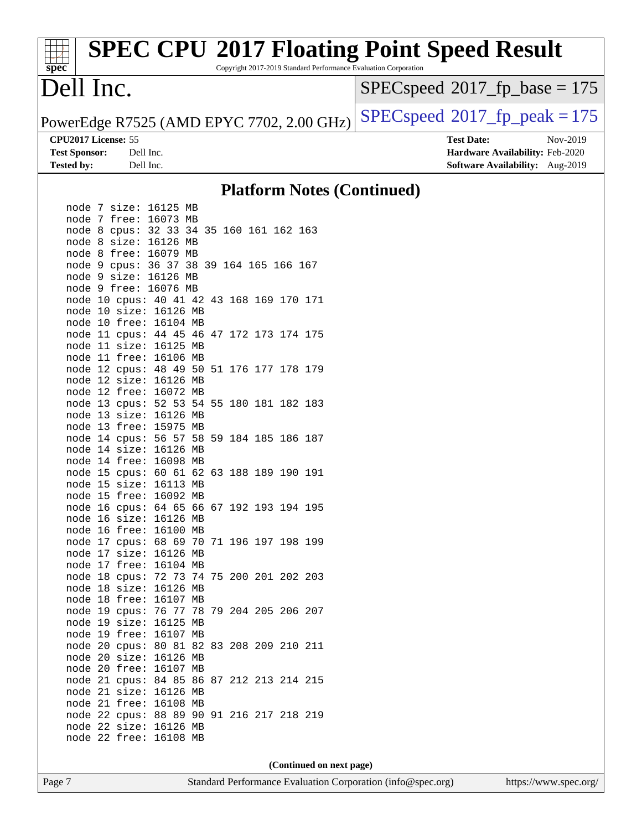Copyright 2017-2019 Standard Performance Evaluation Corporation

### Dell Inc.

**[spec](http://www.spec.org/)**

 $SPEC speed$ <sup>®</sup>[2017\\_fp\\_base = 1](http://www.spec.org/auto/cpu2017/Docs/result-fields.html#SPECspeed2017fpbase)75

PowerEdge R7525 (AMD EPYC 7702, 2.00 GHz)  $\left|$  [SPECspeed](http://www.spec.org/auto/cpu2017/Docs/result-fields.html#SPECspeed2017fppeak)<sup>®</sup>[2017\\_fp\\_peak = 1](http://www.spec.org/auto/cpu2017/Docs/result-fields.html#SPECspeed2017fppeak)75

**[Test Sponsor:](http://www.spec.org/auto/cpu2017/Docs/result-fields.html#TestSponsor)** Dell Inc. **[Hardware Availability:](http://www.spec.org/auto/cpu2017/Docs/result-fields.html#HardwareAvailability)** Feb-2020 **[Tested by:](http://www.spec.org/auto/cpu2017/Docs/result-fields.html#Testedby)** Dell Inc. **[Software Availability:](http://www.spec.org/auto/cpu2017/Docs/result-fields.html#SoftwareAvailability)** Aug-2019

**[CPU2017 License:](http://www.spec.org/auto/cpu2017/Docs/result-fields.html#CPU2017License)** 55 **[Test Date:](http://www.spec.org/auto/cpu2017/Docs/result-fields.html#TestDate)** Nov-2019

**[Platform Notes \(Continued\)](http://www.spec.org/auto/cpu2017/Docs/result-fields.html#PlatformNotes)**

| node         | 7            | size:          | 16125 |                | MВ       |    |     |     |     |     |
|--------------|--------------|----------------|-------|----------------|----------|----|-----|-----|-----|-----|
| node         | 7            | free:          | 16073 |                | MB       |    |     |     |     |     |
| node         | 8            | cpus:          | 32    | 33             | 34       | 35 | 160 | 161 | 162 | 163 |
| node         | 8            | size:          | 16126 |                | MB       |    |     |     |     |     |
| node         | 8            | free:          | 16079 |                | MВ       |    |     |     |     |     |
| node         | 9            | cpus:          | 36    | 37             | 38       | 39 | 164 | 165 | 166 | 167 |
| node         | 9            | size:          | 16126 |                | МB       |    |     |     |     |     |
| node         | 9            | free:          | 16076 |                | MB       |    |     |     |     |     |
| node         | $10$         | cpus:          |       | 40 41          | 42       | 43 | 168 | 169 | 170 | 171 |
| node         | 10           | size:          |       | 16126          | МB       |    |     |     |     |     |
| node         | 10           | free:          |       | 16104          | МB       |    |     |     |     |     |
| node         | 11           | cpus:          |       | 44 45          | 46       | 47 | 172 | 173 | 174 | 175 |
| node         | 11           | size:          |       | 16125          | MВ       |    |     |     |     |     |
| node         | 11           | free:          |       | 16106          | МB       |    |     |     |     |     |
| node         | 12           | cpus:          | 48    | 49             | 50       | 51 | 176 | 177 | 178 | 179 |
| node         | 12           | size:          |       | 16126          | МB       |    |     |     |     |     |
| node         | 12           | free:          |       | 16072          | МB       |    |     |     |     |     |
| node         | 13           | cpus:          | 52    | 53             | 54       | 55 | 180 | 181 | 182 | 183 |
| node         | 13           | size:          |       | 16126          | МB       |    |     |     |     |     |
| node         | 13           | free:          |       | 15975          | МB       |    |     |     |     |     |
| node         | 14           | cpus:          | 56    | 57             | 58       | 59 | 184 | 185 | 186 | 187 |
| node         | 14           | size:          |       | 16126          | МB       |    |     |     |     |     |
| node         | 14           | free:          |       | 16098          | МB       |    |     |     |     |     |
| node         | 15           | cpus:          |       | 60 61          | 62       | 63 | 188 | 189 | 190 | 191 |
| node         | 15           | size:          |       | 16113          | МB       |    |     |     |     |     |
| node         | 15           | free:          |       | 16092          | MВ       |    |     |     |     |     |
| node         | 16           | cpus:          |       | 64 65          | 66       | 67 | 192 | 193 | 194 | 195 |
| node         | 16           | size:          |       | 16126          | МB       |    |     |     |     |     |
| node         | 16           | free:          |       | 16100          | MВ       |    |     |     |     |     |
| node         | 17           | cpus:          | 68    | 69             | 70       | 71 | 196 | 197 | 198 | 199 |
| node         | 17           | size:          |       | 16126          | МB       |    |     |     |     |     |
| node         | 17           | free:          |       | 16104<br>72 73 | МB<br>74 | 75 | 200 | 201 | 202 | 203 |
| node<br>node | $18\,$<br>18 | cpus:<br>size: |       | 16126          | МB       |    |     |     |     |     |
| node         | 18           | free:          |       | 16107          | MB       |    |     |     |     |     |
| node         | 19           | cpus:          |       | 76 77          | 78       | 79 | 204 | 205 | 206 | 207 |
| node         | 19           | size:          |       | 16125          | MВ       |    |     |     |     |     |
| node         | 19           | free:          |       | 16107          | MB       |    |     |     |     |     |
| node         | 20           | cpus:          | 80    | 81             | 82       | 83 | 208 | 209 | 210 | 211 |
| node         | 20           | size:          |       | 16126          | МB       |    |     |     |     |     |
| node         | 20           | free:          |       | 16107          | MB       |    |     |     |     |     |
| node         | 21           | cpus:          | 84    | 85             | 86       | 87 | 212 | 213 | 214 | 215 |
| node         | 21           | size:          |       | 16126          | МB       |    |     |     |     |     |
| node         | 21           | free:          |       | 16108          | МB       |    |     |     |     |     |
| node         | 22           | cpus:          |       | 88 89          | 90       | 91 | 216 | 217 | 218 | 219 |
| node         | 22           | size:          |       | 16126          | МB       |    |     |     |     |     |
| node         | 22           | free:          |       | 16108          | MB       |    |     |     |     |     |
|              |              |                |       |                |          |    |     |     |     |     |

**(Continued on next page)**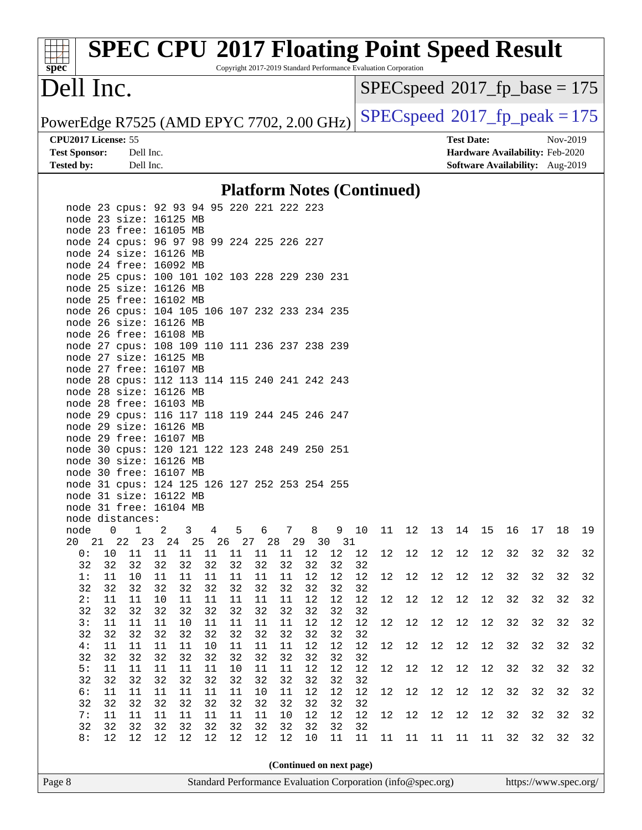Copyright 2017-2019 Standard Performance Evaluation Corporation

### Dell Inc.

**[spec](http://www.spec.org/)**

 $SPEC speed$ <sup>®</sup>[2017\\_fp\\_base = 1](http://www.spec.org/auto/cpu2017/Docs/result-fields.html#SPECspeed2017fpbase)75

PowerEdge R7525 (AMD EPYC 7702, 2.00 GHz)  $\left|$  [SPECspeed](http://www.spec.org/auto/cpu2017/Docs/result-fields.html#SPECspeed2017fppeak)<sup>®</sup>[2017\\_fp\\_peak = 1](http://www.spec.org/auto/cpu2017/Docs/result-fields.html#SPECspeed2017fppeak)75

**[CPU2017 License:](http://www.spec.org/auto/cpu2017/Docs/result-fields.html#CPU2017License)** 55 **[Test Date:](http://www.spec.org/auto/cpu2017/Docs/result-fields.html#TestDate)** Nov-2019

**[Test Sponsor:](http://www.spec.org/auto/cpu2017/Docs/result-fields.html#TestSponsor)** Dell Inc. **[Hardware Availability:](http://www.spec.org/auto/cpu2017/Docs/result-fields.html#HardwareAvailability)** Feb-2020 **[Tested by:](http://www.spec.org/auto/cpu2017/Docs/result-fields.html#Testedby)** Dell Inc. **[Software Availability:](http://www.spec.org/auto/cpu2017/Docs/result-fields.html#SoftwareAvailability)** Aug-2019

### **[Platform Notes \(Continued\)](http://www.spec.org/auto/cpu2017/Docs/result-fields.html#PlatformNotes)**

| Page 8 |          |          |                                               |                |              | Standard Performance Evaluation Corporation (info@spec.org) |          |              |                          |              |          |          |    |                      |        |      |        |    |    | https://www.spec.org/ |    |
|--------|----------|----------|-----------------------------------------------|----------------|--------------|-------------------------------------------------------------|----------|--------------|--------------------------|--------------|----------|----------|----|----------------------|--------|------|--------|----|----|-----------------------|----|
|        |          |          |                                               |                |              |                                                             |          |              | (Continued on next page) |              |          |          |    |                      |        |      |        |    |    |                       |    |
|        |          |          |                                               |                |              |                                                             |          |              |                          |              |          |          |    |                      |        |      |        |    |    |                       |    |
|        | 8:       | 12       | 12                                            | 12             | 12           | 12                                                          | 12       | 12           | 12                       | 10           | 11       | 11       | 11 | 11                   | $11\,$ | 11   | $11\,$ | 32 | 32 | 32                    | 32 |
|        | 32       | 32       | 32                                            | 32             | 32           | 32                                                          | 32       | 32           | 32                       | 32           | 32       | 32       |    |                      |        |      |        |    |    | 32                    | 32 |
|        | 7:       | 11       | $11\,$                                        | $11\,$         | $11\,$       | $11\,$                                                      | 11       | $11\,$       | $10$                     | $1\,2$       | 12       | 12       | 12 | 12                   | $12$   | 12   | 12     | 32 | 32 |                       |    |
|        | 6:<br>32 | 11<br>32 | 11<br>32                                      | $11\,$<br>32   | $11\,$<br>32 | $11\,$<br>32                                                | 11<br>32 | 10<br>32     | $11\,$<br>32             | $1\,2$<br>32 | 12<br>32 | 12<br>32 | 12 | $12$                 | 12     | 12   | 12     | 32 | 32 | 32                    | 32 |
|        | 32       | 32       | 32                                            | 32             | 32           | 32                                                          | 32       | 32           | 32                       | 32           | 32       | 32       |    |                      |        |      |        |    |    |                       |    |
|        | 5:       | 11       | 11                                            | 11             | 11           | 11                                                          | 10       | 11           | 11                       | 12           | 12       | 12       |    | 12 12 12 12 12 32 32 |        |      |        |    |    | 32                    | 32 |
|        | 32       | 32       | 32                                            | 32             | 32           | 32                                                          | 32       | 32           | 32                       | 32           | 32       | 32       |    |                      |        |      |        |    |    |                       |    |
|        | 4:       | 11       | 11                                            | 11             | 11           | 10                                                          | 11       | 11           | 11                       | 12           | 12       | 12       | 12 | 12                   | 12     | 12   | 12     | 32 | 32 | 32                    | 32 |
|        | 32       | 32       | 32                                            | 32             | 32           | 32                                                          | 32       | 32           | 32                       | 32           | 32       | 32       |    |                      |        |      |        |    |    |                       |    |
|        | 3:       | 11       | 11                                            | 11             | 10           | 11                                                          | 11       | 11           | 11                       | 12           | 12       | 12       | 12 | $12$                 | 12     | 12   | 12     | 32 | 32 | 32                    | 32 |
|        | 32       | 32       | 32                                            | 32             | 32           | 32                                                          | 32       | 32           | 32                       | 32           | 32       | 32       |    |                      |        |      |        |    |    |                       |    |
|        | 2:       | 11       | 11                                            | 10             | 11           | 11                                                          | 11       | 11           | 11                       | 12           | 12       | 12       | 12 | 12                   | 12     | $12$ | 12     | 32 | 32 | 32                    | 32 |
|        | 32       | 32       | 32                                            | 32             | 32           | 32                                                          | 32       | 32           | 32                       | 32           | 32       | 32       |    |                      |        |      |        |    |    |                       |    |
|        | 1:       | 11       | 10                                            | 11             | 11           | 11                                                          | 11       | 11           | 11                       | 12           | 12       | 12       | 12 | $12$                 | 12     | 12   | 12     | 32 | 32 | 32                    | 32 |
|        | 32       | 32       | 32                                            | 32             | 32           | 32 32                                                       |          | 32           | 32                       | 32           | 32       | 32       |    |                      |        |      |        |    |    |                       |    |
|        |          |          |                                               |                |              |                                                             |          |              |                          |              |          |          | 12 | 12                   | 12     | 12   | 12     | 32 | 32 | 32                    | 32 |
|        |          |          | 20 21 22 23 24 25 26 27 28 29 30 31           |                |              |                                                             |          |              |                          |              |          |          |    |                      |        |      |        |    |    |                       |    |
|        | node     | 0        | $\overline{1}$                                | $\overline{a}$ | $\mathbf{3}$ | $\overline{4}$                                              |          | 5 6 7 8 9 10 |                          |              |          |          |    | 11 12 13 14 15       |        |      |        | 16 | 17 | 18                    | 19 |
|        |          |          | node distances:                               |                |              |                                                             |          |              |                          |              |          |          |    |                      |        |      |        |    |    |                       |    |
|        |          |          | node 31 free: 16104 MB                        |                |              |                                                             |          |              |                          |              |          |          |    |                      |        |      |        |    |    |                       |    |
|        |          |          | node 31 size: 16122 MB                        |                |              |                                                             |          |              |                          |              |          |          |    |                      |        |      |        |    |    |                       |    |
|        |          |          | node 31 cpus: 124 125 126 127 252 253 254 255 |                |              |                                                             |          |              |                          |              |          |          |    |                      |        |      |        |    |    |                       |    |
|        |          |          | node 30 free: 16107 MB                        |                |              |                                                             |          |              |                          |              |          |          |    |                      |        |      |        |    |    |                       |    |
|        |          |          | node 30 size: 16126 MB                        |                |              |                                                             |          |              |                          |              |          |          |    |                      |        |      |        |    |    |                       |    |
|        |          |          | node 30 cpus: 120 121 122 123 248 249 250 251 |                |              |                                                             |          |              |                          |              |          |          |    |                      |        |      |        |    |    |                       |    |
|        |          |          | node 29 free: 16107 MB                        |                |              |                                                             |          |              |                          |              |          |          |    |                      |        |      |        |    |    |                       |    |
|        |          |          | node 29 size: 16126 MB                        |                |              |                                                             |          |              |                          |              |          |          |    |                      |        |      |        |    |    |                       |    |
|        |          |          | node 29 cpus: 116 117 118 119 244 245 246 247 |                |              |                                                             |          |              |                          |              |          |          |    |                      |        |      |        |    |    |                       |    |
|        |          |          | node 28 free: 16103 MB                        |                |              |                                                             |          |              |                          |              |          |          |    |                      |        |      |        |    |    |                       |    |
|        |          |          | node 28 size: 16126 MB                        |                |              |                                                             |          |              |                          |              |          |          |    |                      |        |      |        |    |    |                       |    |
|        |          |          | node 28 cpus: 112 113 114 115 240 241 242 243 |                |              |                                                             |          |              |                          |              |          |          |    |                      |        |      |        |    |    |                       |    |
|        |          |          | node 27 free: 16107 MB                        |                |              |                                                             |          |              |                          |              |          |          |    |                      |        |      |        |    |    |                       |    |
|        |          |          | node 27 size: 16125 MB                        |                |              |                                                             |          |              |                          |              |          |          |    |                      |        |      |        |    |    |                       |    |
|        |          |          | node 27 cpus: 108 109 110 111 236 237 238 239 |                |              |                                                             |          |              |                          |              |          |          |    |                      |        |      |        |    |    |                       |    |
|        |          |          | node 26 free: 16108 MB                        |                |              |                                                             |          |              |                          |              |          |          |    |                      |        |      |        |    |    |                       |    |
|        |          |          | node 26 size: 16126 MB                        |                |              |                                                             |          |              |                          |              |          |          |    |                      |        |      |        |    |    |                       |    |
|        |          |          | node 26 cpus: 104 105 106 107 232 233 234 235 |                |              |                                                             |          |              |                          |              |          |          |    |                      |        |      |        |    |    |                       |    |
|        |          |          | node 25 free: 16102 MB                        |                |              |                                                             |          |              |                          |              |          |          |    |                      |        |      |        |    |    |                       |    |
|        |          |          | node 25 size: 16126 MB                        |                |              |                                                             |          |              |                          |              |          |          |    |                      |        |      |        |    |    |                       |    |
|        |          |          | node 25 cpus: 100 101 102 103 228 229 230 231 |                |              |                                                             |          |              |                          |              |          |          |    |                      |        |      |        |    |    |                       |    |
|        |          |          | node 24 free: 16092 MB                        |                |              |                                                             |          |              |                          |              |          |          |    |                      |        |      |        |    |    |                       |    |
|        |          |          | node 24 size: 16126 MB                        |                |              |                                                             |          |              |                          |              |          |          |    |                      |        |      |        |    |    |                       |    |
|        |          |          | node 24 cpus: 96 97 98 99 224 225 226 227     |                |              |                                                             |          |              |                          |              |          |          |    |                      |        |      |        |    |    |                       |    |
|        |          |          | node 23 free: 16105 MB                        |                |              |                                                             |          |              |                          |              |          |          |    |                      |        |      |        |    |    |                       |    |
|        |          |          | node 23 size: 16125 MB                        |                |              |                                                             |          |              |                          |              |          |          |    |                      |        |      |        |    |    |                       |    |
|        |          |          | node 23 cpus: 92 93 94 95 220 221 222 223     |                |              |                                                             |          |              |                          |              |          |          |    |                      |        |      |        |    |    |                       |    |
|        |          |          |                                               |                |              |                                                             |          |              |                          |              |          |          |    |                      |        |      |        |    |    |                       |    |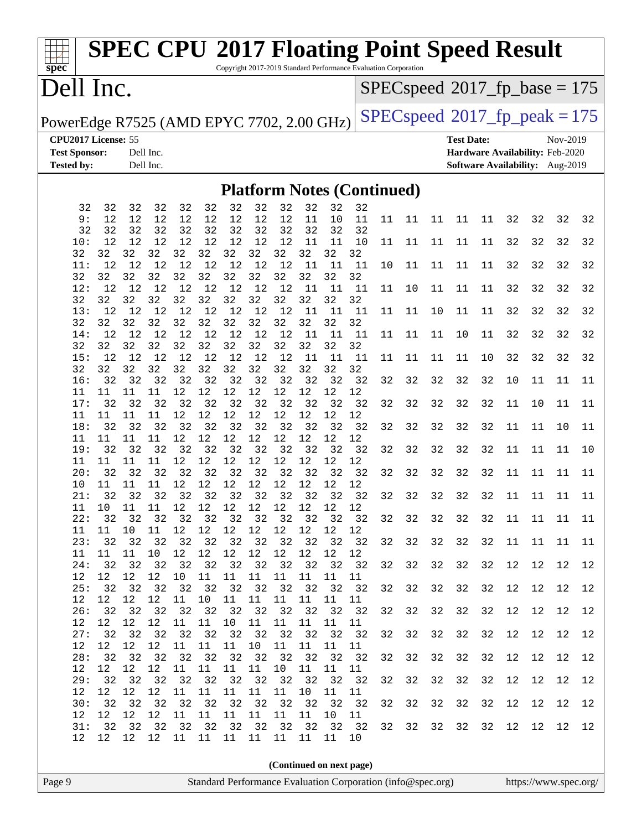Copyright 2017-2019 Standard Performance Evaluation Corporation

### Dell Inc.

**[spec](http://www.spec.org/)**

 $SPEC speed$ <sup>®</sup>[2017\\_fp\\_base = 1](http://www.spec.org/auto/cpu2017/Docs/result-fields.html#SPECspeed2017fpbase)75

PowerEdge R7525 (AMD EPYC 7702, 2.00 GHz)  $\left|$  [SPECspeed](http://www.spec.org/auto/cpu2017/Docs/result-fields.html#SPECspeed2017fppeak)<sup>®</sup>[2017\\_fp\\_peak = 1](http://www.spec.org/auto/cpu2017/Docs/result-fields.html#SPECspeed2017fppeak)75

**[CPU2017 License:](http://www.spec.org/auto/cpu2017/Docs/result-fields.html#CPU2017License)** 55 **[Test Date:](http://www.spec.org/auto/cpu2017/Docs/result-fields.html#TestDate)** Nov-2019 **[Test Sponsor:](http://www.spec.org/auto/cpu2017/Docs/result-fields.html#TestSponsor)** Dell Inc. **[Hardware Availability:](http://www.spec.org/auto/cpu2017/Docs/result-fields.html#HardwareAvailability)** Feb-2020 **[Tested by:](http://www.spec.org/auto/cpu2017/Docs/result-fields.html#Testedby)** Dell Inc. **[Software Availability:](http://www.spec.org/auto/cpu2017/Docs/result-fields.html#SoftwareAvailability)** Aug-2019

#### **[Platform Notes \(Continued\)](http://www.spec.org/auto/cpu2017/Docs/result-fields.html#PlatformNotes)**

| 32        | 32       | 32              | 32       | 32         | 32       | 32                      | 32       | 32          | 32          | 32       | 32                                                                   |    |    |             |    |    |    |    |    |    |
|-----------|----------|-----------------|----------|------------|----------|-------------------------|----------|-------------|-------------|----------|----------------------------------------------------------------------|----|----|-------------|----|----|----|----|----|----|
| 9:<br>32  | 12<br>32 | 12<br>32        | 12<br>32 | 12<br>32   | 12<br>32 | 12<br>32                | 12<br>32 | 12<br>32    | 11<br>32    | 10<br>32 | 11<br>32                                                             | 11 |    | 11 11 11 11 |    |    | 32 | 32 | 32 | 32 |
| 10:       | 12       | 12              | 12       | 12         | 12       | 12                      | 12       | 12          | 11          | 11       | 10                                                                   | 11 | 11 | 11          | 11 | 11 | 32 | 32 | 32 | 32 |
| 32        | 32       | 32              | 32       | 32         | 32       | 32                      | 32       | 32          | 32          | 32       | 32                                                                   |    |    |             |    |    |    |    |    |    |
| 11:       | 12       | 12              | 12       | 12         | 12       | 12                      | 12       | 12          | 11          | 11       | 11                                                                   | 10 | 11 | 11          | 11 | 11 | 32 | 32 | 32 | 32 |
| 32        | 32       | 32              | 32       | 32         | 32       | 32                      | 32       | 32          | 32          | 32       | 32                                                                   |    |    |             |    |    |    |    |    |    |
| 12:<br>32 | 12<br>32 | 12<br>32        | 12<br>32 | 12<br>32   | 12<br>32 | 12<br>32                | 32       | 12 12<br>32 | 11<br>32    | 11<br>32 | -11<br>32                                                            | 11 | 10 | 11          | 11 | 11 | 32 | 32 | 32 | 32 |
| 13:       | 12       | 12              | 12       | 12         | 12       | 12                      | 12       | 12          | 11          | 11       | 11                                                                   | 11 | 11 | 10          | 11 | 11 | 32 | 32 | 32 | 32 |
| 32        | 32       | 32              | 32       | 32         | 32       | 32                      | 32       | 32          | 32          | 32       | 32                                                                   |    |    |             |    |    |    |    |    |    |
| 14:       | 12       | 12              | 12       | 12         | 12       |                         | 12 12    | 12          | 11          | 11       | 11                                                                   | 11 | 11 | 11          | 10 | 11 | 32 | 32 | 32 | 32 |
| 32        | 32       | 32              | 32       | 32         | 32       | 32                      | 32       | 32          | 32          | 32       | 32                                                                   |    |    |             |    |    |    |    |    |    |
| 15:       | 12       | 12              | 12       | 12         | 12       | 12                      | 12 12    |             | 11          | 11       | 11                                                                   | 11 | 11 | 11          | 11 | 10 | 32 | 32 | 32 | 32 |
| 32        | 32       | 32              | 32       | 32         | 32       | 32                      | 32       | 32          | 32          | 32       | 32                                                                   |    |    |             |    |    |    |    |    |    |
| 16:<br>11 | 32<br>11 | 32<br>11        | 32<br>11 | 32<br>12   | 32<br>12 | 32<br>12                | 32<br>12 | 32<br>12    | 32<br>12    | 32<br>12 | 32<br>12                                                             | 32 | 32 | 32          | 32 | 32 | 10 | 11 | 11 | 11 |
| 17:       | 32       | 32              | 32       | 32         | 32       | 32                      | 32       | 32          | 32          | 32       | 32                                                                   | 32 | 32 | 32          | 32 | 32 | 11 | 10 | 11 | 11 |
| 11        | 11       | 11              | 11       | 12         | 12       | 12                      | 12       | 12          | 12          | 12       | 12                                                                   |    |    |             |    |    |    |    |    |    |
| 18:       | 32       | 32              | 32       | 32         | 32       | 32                      |          | 32 32       | 32          | 32       | 32                                                                   | 32 | 32 | 32          | 32 | 32 | 11 | 11 | 10 | 11 |
| 11        | 11       | 11              | 11       | 12         | 12       | 12                      | 12       | 12          | 12          | 12       | 12                                                                   |    |    |             |    |    |    |    |    |    |
| 19:       | 32       | 32              | 32       | 32         | 32       | 32                      | 32       | 32          | 32          | 32       | 32                                                                   | 32 | 32 | 32          | 32 | 32 | 11 | 11 | 11 | 10 |
| 11        | 11       | 11              | 11       | 12         | 12       | 12                      | 12       | 12          | 12          | 12       | 12                                                                   |    |    |             |    |    |    |    |    |    |
| 20:<br>10 | 32<br>11 | 32<br>11        | 32<br>11 | 32<br>12   | 32<br>12 | 32<br>12                | 32<br>12 | 32<br>12    | 32<br>12 12 | 32       | 32<br>12                                                             | 32 | 32 | 32          | 32 | 32 | 11 | 11 | 11 | 11 |
| 21:       | 32       | 32              | 32       | 32         | 32       | 32                      |          | 32 32       | 32          | 32       | 32                                                                   | 32 | 32 | 32          | 32 | 32 | 11 | 11 | 11 | 11 |
| 11        | 10       | 11              | 11       | 12         | 12       | 12                      | 12       | 12          | 12          | 12       | 12                                                                   |    |    |             |    |    |    |    |    |    |
| 22:       | 32       | 32              | 32       | 32         | 32       | 32                      | 32       | 32          | 32          | 32       | 32                                                                   | 32 | 32 | 32          | 32 | 32 | 11 | 11 | 11 | 11 |
| 11        | 11       | 10              | 11       | 12         | 12       | 12                      | 12       | 12          | 12          | 12       | 12                                                                   |    |    |             |    |    |    |    |    |    |
| 23:       | 32       | 32              | 32       | 32         | 32       | 32                      | 32       | 32          | 32          | 32       | 32                                                                   | 32 | 32 | 32          | 32 | 32 | 11 | 11 | 11 | 11 |
| 11        | 11       | 11              | 10       | 12         | 12       | 12                      | 12       | 12          | 12          | 12       | 12                                                                   |    |    |             |    |    |    |    |    |    |
| 24:       | 32<br>12 | 32<br>12        | 32       | 32         | 32       | 32<br>10 11 11 11       |          | 32 32       | 32          | 32<br>11 | 32                                                                   | 32 | 32 | 32          | 32 | 32 | 12 | 12 | 12 | 12 |
| 12<br>25: | 32       | 32              | 12<br>32 |            | 32 32    | 32                      | 32       | 11<br>32    | 11<br>32    | 32       | 11<br>32                                                             | 32 | 32 | 32          | 32 | 32 | 12 | 12 | 12 | 12 |
| 12        | 12       | 12              | 12       | 11         | 10       | 11                      | 11       | 11          | 11          | 11       | 11                                                                   |    |    |             |    |    |    |    |    |    |
| 26:       | 32       | 32              | 32       | 32         | 32       | 32                      | 32       | 32          | 32          | 32       | 32                                                                   | 32 | 32 | 32          | 32 | 32 | 12 | 12 | 12 | 12 |
| 12        | 12       | 12              | 12       | 11         | 11       | 10                      | 11       | 11          |             | 11 11    | 11                                                                   |    |    |             |    |    |    |    |    |    |
| 27:       | 32       | 32              | 32       | 32         | 32       | 32                      |          | 32 32       | 32          | 32       | 32                                                                   | 32 | 32 | 32          | 32 | 32 | 12 | 12 | 12 | 12 |
| 12        | 12       | 12              | 12       | 11         | 11       | 11 10                   |          | 11          | 11          | $11 11$  |                                                                      |    |    |             |    |    |    |    |    |    |
| 28:       | 32       | 32              | 32       |            |          | 32 32 32 32 32          |          |             |             | 32 32    | 32                                                                   | 32 | 32 | 32          | 32 | 32 | 12 | 12 | 12 | 12 |
| 29:       | 32       | 32 32           |          |            |          | 32 32 32 32 32 32 32 32 |          |             |             |          | 12    12    12    12    11    11    11    11    10    11    11    11 | 32 | 32 | 32          | 32 | 32 | 12 | 12 | 12 | 12 |
| 12        | 12       | 12 <sub>2</sub> | 12       | 11         | 11       | 11                      | 11       | 11          | 10          | 11       | 11                                                                   |    |    |             |    |    |    |    |    |    |
| 30:       | 32       | 32              | 32       | 32         | 32       | 32                      | 32       | 32          | 32          | 32       | 32                                                                   | 32 | 32 | 32          | 32 | 32 | 12 | 12 | 12 | 12 |
| 12        | 12       | 12              | 12       | $11\,$     | 11       | 11                      | 11       | 11          | 11          | 10       | 11                                                                   |    |    |             |    |    |    |    |    |    |
| 31:       | 32       | 32              | 32       | 32         | 32       | 32                      | 32       | 32          | 32          | 32       | 32                                                                   | 32 | 32 | 32          | 32 | 32 | 12 | 12 | 12 | 12 |
| 12        | 12       |                 |          | 12  12  11 | 11       | 11                      | 11       | 11          | 11          | 11       | 10                                                                   |    |    |             |    |    |    |    |    |    |
|           |          |                 |          |            |          |                         |          |             |             |          |                                                                      |    |    |             |    |    |    |    |    |    |
|           |          |                 |          |            |          |                         |          |             |             |          | (Continued on next page)                                             |    |    |             |    |    |    |    |    |    |
|           |          |                 |          |            |          |                         |          |             |             |          |                                                                      |    |    |             |    |    |    |    |    |    |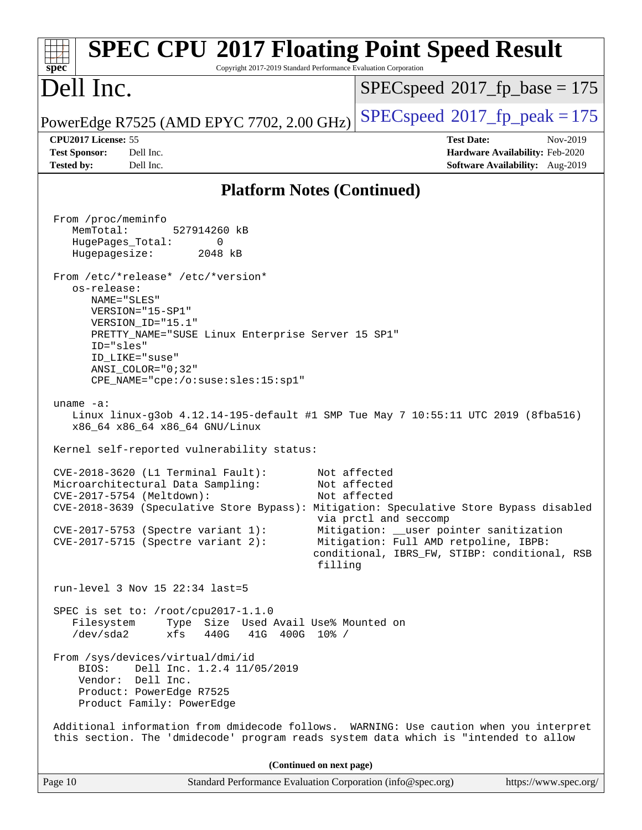| <b>SPEC CPU®2017 Floating Point Speed Result</b><br>Copyright 2017-2019 Standard Performance Evaluation Corporation<br>spec <sup>®</sup>                                                                                                                                      |                                                                                                                                                                                                                       |  |  |  |  |  |  |
|-------------------------------------------------------------------------------------------------------------------------------------------------------------------------------------------------------------------------------------------------------------------------------|-----------------------------------------------------------------------------------------------------------------------------------------------------------------------------------------------------------------------|--|--|--|--|--|--|
| Dell Inc.                                                                                                                                                                                                                                                                     | $SPEC speed^{\circ}2017\_fp\_base = 175$                                                                                                                                                                              |  |  |  |  |  |  |
| PowerEdge R7525 (AMD EPYC 7702, 2.00 GHz)                                                                                                                                                                                                                                     | $SPEC speed^{\circ}2017$ fp peak = 175                                                                                                                                                                                |  |  |  |  |  |  |
| CPU2017 License: 55<br><b>Test Sponsor:</b><br>Dell Inc.<br><b>Tested by:</b><br>Dell Inc.                                                                                                                                                                                    | <b>Test Date:</b><br>Nov-2019<br>Hardware Availability: Feb-2020<br>Software Availability: Aug-2019                                                                                                                   |  |  |  |  |  |  |
| <b>Platform Notes (Continued)</b>                                                                                                                                                                                                                                             |                                                                                                                                                                                                                       |  |  |  |  |  |  |
| From /proc/meminfo<br>MemTotal:<br>527914260 kB<br>HugePages_Total:<br>0<br>Hugepagesize:<br>2048 kB<br>From /etc/*release* /etc/*version*<br>os-release:                                                                                                                     |                                                                                                                                                                                                                       |  |  |  |  |  |  |
| NAME="SLES"<br>VERSION="15-SP1"<br>VERSION ID="15.1"<br>PRETTY_NAME="SUSE Linux Enterprise Server 15 SP1"<br>ID="sles"<br>ID LIKE="suse"<br>ANSI COLOR="0;32"<br>CPE_NAME="cpe:/o:suse:sles:15:sp1"                                                                           |                                                                                                                                                                                                                       |  |  |  |  |  |  |
| uname $-a$ :<br>Linux linux-g3ob 4.12.14-195-default #1 SMP Tue May 7 10:55:11 UTC 2019 (8fba516)<br>x86_64 x86_64 x86_64 GNU/Linux                                                                                                                                           |                                                                                                                                                                                                                       |  |  |  |  |  |  |
| Kernel self-reported vulnerability status:                                                                                                                                                                                                                                    |                                                                                                                                                                                                                       |  |  |  |  |  |  |
| CVE-2018-3620 (L1 Terminal Fault):<br>Microarchitectural Data Sampling:<br>CVE-2017-5754 (Meltdown):<br>CVE-2018-3639 (Speculative Store Bypass): Mitigation: Speculative Store Bypass disabled<br>$CVE-2017-5753$ (Spectre variant 1):<br>CVE-2017-5715 (Spectre variant 2): | Not affected<br>Not affected<br>Not affected<br>via prctl and seccomp<br>Mitigation: __user pointer sanitization<br>Mitigation: Full AMD retpoline, IBPB:<br>conditional, IBRS_FW, STIBP: conditional, RSB<br>filling |  |  |  |  |  |  |
| run-level 3 Nov 15 $22:34$ last=5                                                                                                                                                                                                                                             |                                                                                                                                                                                                                       |  |  |  |  |  |  |
| SPEC is set to: /root/cpu2017-1.1.0<br>Filesystem<br>Type Size Used Avail Use% Mounted on<br>/dev/sda2<br>440G<br>xfs<br>41G<br>400G 10% /                                                                                                                                    |                                                                                                                                                                                                                       |  |  |  |  |  |  |
| From /sys/devices/virtual/dmi/id<br>Dell Inc. 1.2.4 11/05/2019<br>BIOS:<br>Vendor: Dell Inc.<br>Product: PowerEdge R7525<br>Product Family: PowerEdge                                                                                                                         |                                                                                                                                                                                                                       |  |  |  |  |  |  |
| Additional information from dmidecode follows. WARNING: Use caution when you interpret<br>this section. The 'dmidecode' program reads system data which is "intended to allow                                                                                                 |                                                                                                                                                                                                                       |  |  |  |  |  |  |
| (Continued on next page)                                                                                                                                                                                                                                                      |                                                                                                                                                                                                                       |  |  |  |  |  |  |
| Page 10<br>Standard Performance Evaluation Corporation (info@spec.org)                                                                                                                                                                                                        | https://www.spec.org/                                                                                                                                                                                                 |  |  |  |  |  |  |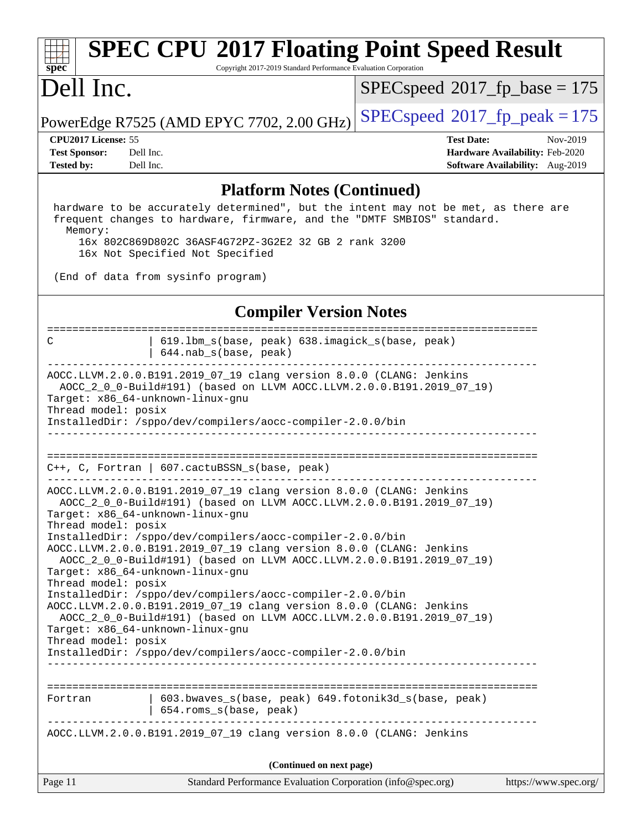Copyright 2017-2019 Standard Performance Evaluation Corporation

### Dell Inc.

**[spec](http://www.spec.org/)**

[SPECspeed](http://www.spec.org/auto/cpu2017/Docs/result-fields.html#SPECspeed2017fpbase)<sup>®</sup>2017 fp base = 175

PowerEdge R7525 (AMD EPYC 7702, 2.00 GHz) [SPECspeed](http://www.spec.org/auto/cpu2017/Docs/result-fields.html#SPECspeed2017fppeak)®2017\_fp\_peak =  $175$ 

**[Tested by:](http://www.spec.org/auto/cpu2017/Docs/result-fields.html#Testedby)** Dell Inc. **[Software Availability:](http://www.spec.org/auto/cpu2017/Docs/result-fields.html#SoftwareAvailability)** Aug-2019

**[CPU2017 License:](http://www.spec.org/auto/cpu2017/Docs/result-fields.html#CPU2017License)** 55 **[Test Date:](http://www.spec.org/auto/cpu2017/Docs/result-fields.html#TestDate)** Nov-2019 **[Test Sponsor:](http://www.spec.org/auto/cpu2017/Docs/result-fields.html#TestSponsor)** Dell Inc. **[Hardware Availability:](http://www.spec.org/auto/cpu2017/Docs/result-fields.html#HardwareAvailability)** Feb-2020

#### **[Platform Notes \(Continued\)](http://www.spec.org/auto/cpu2017/Docs/result-fields.html#PlatformNotes)**

 hardware to be accurately determined", but the intent may not be met, as there are frequent changes to hardware, firmware, and the "DMTF SMBIOS" standard. Memory: 16x 802C869D802C 36ASF4G72PZ-3G2E2 32 GB 2 rank 3200

16x Not Specified Not Specified

(End of data from sysinfo program)

### **[Compiler Version Notes](http://www.spec.org/auto/cpu2017/Docs/result-fields.html#CompilerVersionNotes)**

Page 11 Standard Performance Evaluation Corporation [\(info@spec.org\)](mailto:info@spec.org) <https://www.spec.org/> ============================================================================== C | 619.lbm\_s(base, peak) 638.imagick\_s(base, peak) | 644.nab\_s(base, peak) ------------------------------------------------------------------------------ AOCC.LLVM.2.0.0.B191.2019\_07\_19 clang version 8.0.0 (CLANG: Jenkins AOCC\_2\_0\_0-Build#191) (based on LLVM AOCC.LLVM.2.0.0.B191.2019\_07\_19) Target: x86\_64-unknown-linux-gnu Thread model: posix InstalledDir: /sppo/dev/compilers/aocc-compiler-2.0.0/bin ------------------------------------------------------------------------------ ============================================================================== C++, C, Fortran | 607.cactuBSSN\_s(base, peak) ------------------------------------------------------------------------------ AOCC.LLVM.2.0.0.B191.2019\_07\_19 clang version 8.0.0 (CLANG: Jenkins AOCC\_2\_0\_0-Build#191) (based on LLVM AOCC.LLVM.2.0.0.B191.2019\_07\_19) Target: x86\_64-unknown-linux-gnu Thread model: posix InstalledDir: /sppo/dev/compilers/aocc-compiler-2.0.0/bin AOCC.LLVM.2.0.0.B191.2019\_07\_19 clang version 8.0.0 (CLANG: Jenkins AOCC\_2\_0\_0-Build#191) (based on LLVM AOCC.LLVM.2.0.0.B191.2019\_07\_19) Target: x86\_64-unknown-linux-gnu Thread model: posix InstalledDir: /sppo/dev/compilers/aocc-compiler-2.0.0/bin AOCC.LLVM.2.0.0.B191.2019\_07\_19 clang version 8.0.0 (CLANG: Jenkins AOCC\_2\_0\_0-Build#191) (based on LLVM AOCC.LLVM.2.0.0.B191.2019\_07\_19) Target: x86\_64-unknown-linux-gnu Thread model: posix InstalledDir: /sppo/dev/compilers/aocc-compiler-2.0.0/bin ------------------------------------------------------------------------------ ============================================================================== Fortran 1603.bwaves s(base, peak) 649.fotonik3d s(base, peak) | 654.roms\_s(base, peak) ------------------------------------------------------------------------------ AOCC.LLVM.2.0.0.B191.2019\_07\_19 clang version 8.0.0 (CLANG: Jenkins **(Continued on next page)**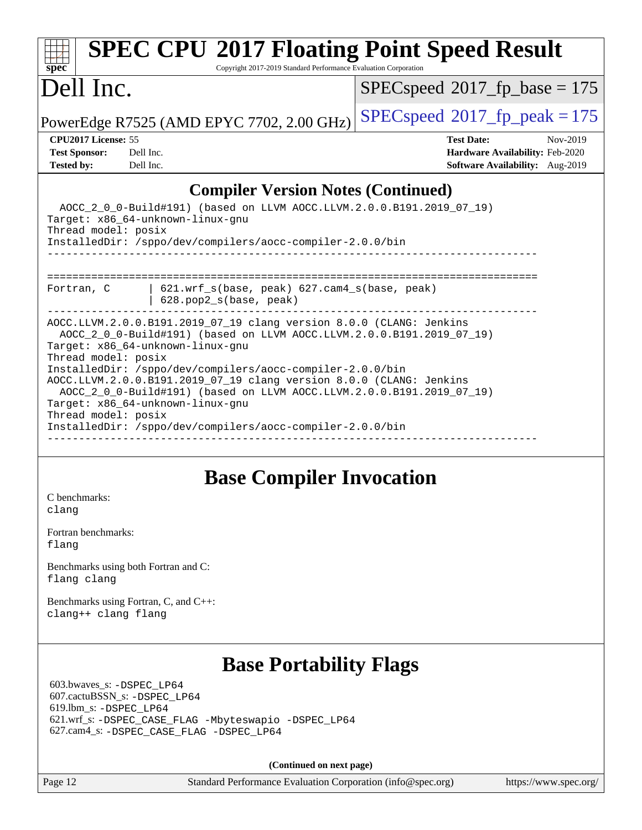#### **[spec](http://www.spec.org/) [SPEC CPU](http://www.spec.org/auto/cpu2017/Docs/result-fields.html#SPECCPU2017FloatingPointSpeedResult)[2017 Floating Point Speed Result](http://www.spec.org/auto/cpu2017/Docs/result-fields.html#SPECCPU2017FloatingPointSpeedResult)** Copyright 2017-2019 Standard Performance Evaluation Corporation Dell Inc. PowerEdge R7525 (AMD EPYC 7702, 2.00 GHz)  $\left|$  [SPECspeed](http://www.spec.org/auto/cpu2017/Docs/result-fields.html#SPECspeed2017fppeak)®[2017\\_fp\\_peak = 1](http://www.spec.org/auto/cpu2017/Docs/result-fields.html#SPECspeed2017fppeak)75 [SPECspeed](http://www.spec.org/auto/cpu2017/Docs/result-fields.html#SPECspeed2017fpbase)<sup>®</sup>2017 fp base = 175 **[CPU2017 License:](http://www.spec.org/auto/cpu2017/Docs/result-fields.html#CPU2017License)** 55 **[Test Date:](http://www.spec.org/auto/cpu2017/Docs/result-fields.html#TestDate)** Nov-2019 **[Test Sponsor:](http://www.spec.org/auto/cpu2017/Docs/result-fields.html#TestSponsor)** Dell Inc. **[Hardware Availability:](http://www.spec.org/auto/cpu2017/Docs/result-fields.html#HardwareAvailability)** Feb-2020 **[Tested by:](http://www.spec.org/auto/cpu2017/Docs/result-fields.html#Testedby)** Dell Inc. **[Software Availability:](http://www.spec.org/auto/cpu2017/Docs/result-fields.html#SoftwareAvailability)** Aug-2019 **[Compiler Version Notes \(Continued\)](http://www.spec.org/auto/cpu2017/Docs/result-fields.html#CompilerVersionNotes)** AOCC\_2\_0\_0-Build#191) (based on LLVM AOCC.LLVM.2.0.0.B191.2019\_07\_19) Target: x86\_64-unknown-linux-gnu Thread model: posix InstalledDir: /sppo/dev/compilers/aocc-compiler-2.0.0/bin ------------------------------------------------------------------------------ ============================================================================== Fortran, C | 621.wrf\_s(base, peak) 627.cam4\_s(base, peak) | 628.pop2\_s(base, peak) ------------------------------------------------------------------------------ AOCC.LLVM.2.0.0.B191.2019\_07\_19 clang version 8.0.0 (CLANG: Jenkins AOCC\_2\_0\_0-Build#191) (based on LLVM AOCC.LLVM.2.0.0.B191.2019\_07\_19) Target: x86\_64-unknown-linux-gnu Thread model: posix InstalledDir: /sppo/dev/compilers/aocc-compiler-2.0.0/bin AOCC.LLVM.2.0.0.B191.2019\_07\_19 clang version 8.0.0 (CLANG: Jenkins

 AOCC\_2\_0\_0-Build#191) (based on LLVM AOCC.LLVM.2.0.0.B191.2019\_07\_19) Target: x86\_64-unknown-linux-gnu Thread model: posix InstalledDir: /sppo/dev/compilers/aocc-compiler-2.0.0/bin

------------------------------------------------------------------------------

### **[Base Compiler Invocation](http://www.spec.org/auto/cpu2017/Docs/result-fields.html#BaseCompilerInvocation)**

[C benchmarks](http://www.spec.org/auto/cpu2017/Docs/result-fields.html#Cbenchmarks): [clang](http://www.spec.org/cpu2017/results/res2019q4/cpu2017-20191208-20200.flags.html#user_CCbase_clang-c)

[Fortran benchmarks](http://www.spec.org/auto/cpu2017/Docs/result-fields.html#Fortranbenchmarks): [flang](http://www.spec.org/cpu2017/results/res2019q4/cpu2017-20191208-20200.flags.html#user_FCbase_flang)

[Benchmarks using both Fortran and C](http://www.spec.org/auto/cpu2017/Docs/result-fields.html#BenchmarksusingbothFortranandC): [flang](http://www.spec.org/cpu2017/results/res2019q4/cpu2017-20191208-20200.flags.html#user_CC_FCbase_flang) [clang](http://www.spec.org/cpu2017/results/res2019q4/cpu2017-20191208-20200.flags.html#user_CC_FCbase_clang-c)

[Benchmarks using Fortran, C, and C++:](http://www.spec.org/auto/cpu2017/Docs/result-fields.html#BenchmarksusingFortranCandCXX) [clang++](http://www.spec.org/cpu2017/results/res2019q4/cpu2017-20191208-20200.flags.html#user_CC_CXX_FCbase_clang-cpp) [clang](http://www.spec.org/cpu2017/results/res2019q4/cpu2017-20191208-20200.flags.html#user_CC_CXX_FCbase_clang-c) [flang](http://www.spec.org/cpu2017/results/res2019q4/cpu2017-20191208-20200.flags.html#user_CC_CXX_FCbase_flang)

### **[Base Portability Flags](http://www.spec.org/auto/cpu2017/Docs/result-fields.html#BasePortabilityFlags)**

 603.bwaves\_s: [-DSPEC\\_LP64](http://www.spec.org/cpu2017/results/res2019q4/cpu2017-20191208-20200.flags.html#suite_baseEXTRA_PORTABILITY603_bwaves_s_DSPEC_LP64) 607.cactuBSSN\_s: [-DSPEC\\_LP64](http://www.spec.org/cpu2017/results/res2019q4/cpu2017-20191208-20200.flags.html#suite_baseEXTRA_PORTABILITY607_cactuBSSN_s_DSPEC_LP64) 619.lbm\_s: [-DSPEC\\_LP64](http://www.spec.org/cpu2017/results/res2019q4/cpu2017-20191208-20200.flags.html#suite_baseEXTRA_PORTABILITY619_lbm_s_DSPEC_LP64) 621.wrf\_s: [-DSPEC\\_CASE\\_FLAG](http://www.spec.org/cpu2017/results/res2019q4/cpu2017-20191208-20200.flags.html#b621.wrf_s_baseCPORTABILITY_DSPEC_CASE_FLAG) [-Mbyteswapio](http://www.spec.org/cpu2017/results/res2019q4/cpu2017-20191208-20200.flags.html#user_baseFPORTABILITY621_wrf_s_F-mbyteswapio_543c39ce38db59bcbc3b888917ef58c313007ae1c27520b689e012995ae261114051d1d5efcb4182d175ce22a6a15532d3a9999882dd2c360e6d853f41da6883) [-DSPEC\\_LP64](http://www.spec.org/cpu2017/results/res2019q4/cpu2017-20191208-20200.flags.html#suite_baseEXTRA_PORTABILITY621_wrf_s_DSPEC_LP64) 627.cam4\_s: [-DSPEC\\_CASE\\_FLAG](http://www.spec.org/cpu2017/results/res2019q4/cpu2017-20191208-20200.flags.html#b627.cam4_s_basePORTABILITY_DSPEC_CASE_FLAG) [-DSPEC\\_LP64](http://www.spec.org/cpu2017/results/res2019q4/cpu2017-20191208-20200.flags.html#suite_baseEXTRA_PORTABILITY627_cam4_s_DSPEC_LP64)

**(Continued on next page)**

Page 12 Standard Performance Evaluation Corporation [\(info@spec.org\)](mailto:info@spec.org) <https://www.spec.org/>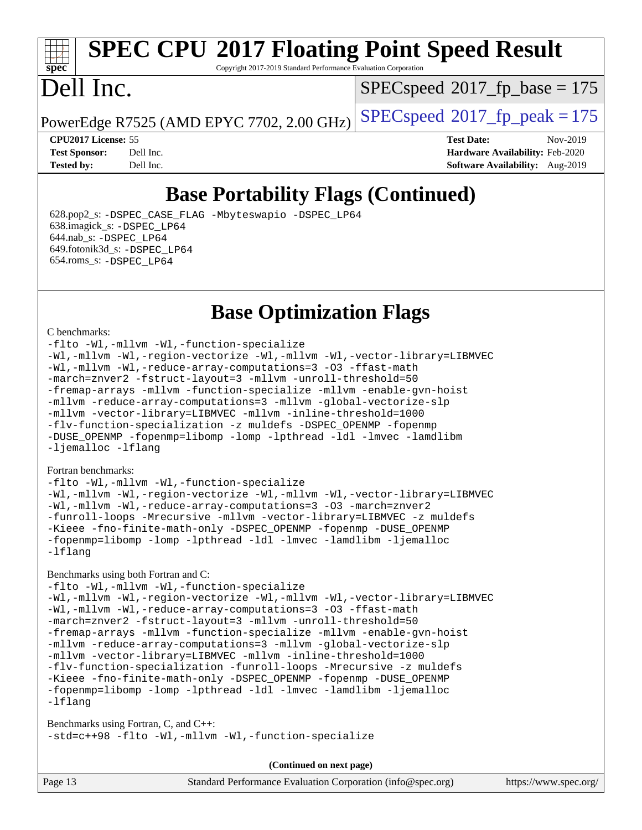Copyright 2017-2019 Standard Performance Evaluation Corporation

### Dell Inc.

**[spec](http://www.spec.org/)**

 $SPEC speed$ <sup>®</sup>[2017\\_fp\\_base = 1](http://www.spec.org/auto/cpu2017/Docs/result-fields.html#SPECspeed2017fpbase)75

PowerEdge R7525 (AMD EPYC 7702, 2.00 GHz)  $\left|$  [SPECspeed](http://www.spec.org/auto/cpu2017/Docs/result-fields.html#SPECspeed2017fppeak)<sup>®</sup>[2017\\_fp\\_peak = 1](http://www.spec.org/auto/cpu2017/Docs/result-fields.html#SPECspeed2017fppeak)75

**[CPU2017 License:](http://www.spec.org/auto/cpu2017/Docs/result-fields.html#CPU2017License)** 55 **[Test Date:](http://www.spec.org/auto/cpu2017/Docs/result-fields.html#TestDate)** Nov-2019 **[Test Sponsor:](http://www.spec.org/auto/cpu2017/Docs/result-fields.html#TestSponsor)** Dell Inc. **[Hardware Availability:](http://www.spec.org/auto/cpu2017/Docs/result-fields.html#HardwareAvailability)** Feb-2020 **[Tested by:](http://www.spec.org/auto/cpu2017/Docs/result-fields.html#Testedby)** Dell Inc. **[Software Availability:](http://www.spec.org/auto/cpu2017/Docs/result-fields.html#SoftwareAvailability)** Aug-2019

### **[Base Portability Flags \(Continued\)](http://www.spec.org/auto/cpu2017/Docs/result-fields.html#BasePortabilityFlags)**

 628.pop2\_s: [-DSPEC\\_CASE\\_FLAG](http://www.spec.org/cpu2017/results/res2019q4/cpu2017-20191208-20200.flags.html#b628.pop2_s_baseCPORTABILITY_DSPEC_CASE_FLAG) [-Mbyteswapio](http://www.spec.org/cpu2017/results/res2019q4/cpu2017-20191208-20200.flags.html#user_baseFPORTABILITY628_pop2_s_F-mbyteswapio_543c39ce38db59bcbc3b888917ef58c313007ae1c27520b689e012995ae261114051d1d5efcb4182d175ce22a6a15532d3a9999882dd2c360e6d853f41da6883) [-DSPEC\\_LP64](http://www.spec.org/cpu2017/results/res2019q4/cpu2017-20191208-20200.flags.html#suite_baseEXTRA_PORTABILITY628_pop2_s_DSPEC_LP64) 638.imagick\_s: [-DSPEC\\_LP64](http://www.spec.org/cpu2017/results/res2019q4/cpu2017-20191208-20200.flags.html#suite_baseEXTRA_PORTABILITY638_imagick_s_DSPEC_LP64) 644.nab\_s: [-DSPEC\\_LP64](http://www.spec.org/cpu2017/results/res2019q4/cpu2017-20191208-20200.flags.html#suite_baseEXTRA_PORTABILITY644_nab_s_DSPEC_LP64) 649.fotonik3d\_s: [-DSPEC\\_LP64](http://www.spec.org/cpu2017/results/res2019q4/cpu2017-20191208-20200.flags.html#suite_baseEXTRA_PORTABILITY649_fotonik3d_s_DSPEC_LP64) 654.roms\_s: [-DSPEC\\_LP64](http://www.spec.org/cpu2017/results/res2019q4/cpu2017-20191208-20200.flags.html#suite_baseEXTRA_PORTABILITY654_roms_s_DSPEC_LP64)

### **[Base Optimization Flags](http://www.spec.org/auto/cpu2017/Docs/result-fields.html#BaseOptimizationFlags)**

#### [C benchmarks](http://www.spec.org/auto/cpu2017/Docs/result-fields.html#Cbenchmarks):

[-flto](http://www.spec.org/cpu2017/results/res2019q4/cpu2017-20191208-20200.flags.html#user_CCbase_aocc-flto) [-Wl,-mllvm -Wl,-function-specialize](http://www.spec.org/cpu2017/results/res2019q4/cpu2017-20191208-20200.flags.html#user_CCbase_F-function-specialize_7e7e661e57922243ee67c9a1251cb8910e607325179a0ce7f2884e09a6f5d4a5ef0ae4f37e8a2a11c95fc48e931f06dc2b6016f14b511fcb441e048bef1b065a) [-Wl,-mllvm -Wl,-region-vectorize](http://www.spec.org/cpu2017/results/res2019q4/cpu2017-20191208-20200.flags.html#user_CCbase_F-region-vectorize_fb6c6b5aa293c88efc6c7c2b52b20755e943585b1fe8658c35afef78727fff56e1a56891413c30e36b8e2a6f9a71126986319243e80eb6110b78b288f533c52b) [-Wl,-mllvm -Wl,-vector-library=LIBMVEC](http://www.spec.org/cpu2017/results/res2019q4/cpu2017-20191208-20200.flags.html#user_CCbase_F-use-vector-library_0a14b27fae317f283640384a31f7bfcc2bd4c1d0b5cfc618a3a430800c9b20217b00f61303eff223a3251b4f06ffbc9739dc5296db9d1fbb9ad24a3939d86d66) [-Wl,-mllvm -Wl,-reduce-array-computations=3](http://www.spec.org/cpu2017/results/res2019q4/cpu2017-20191208-20200.flags.html#user_CCbase_F-reduce-array-computations_b882aefe7a5dda4e33149f6299762b9a720dace3e498e13756f4c04e5a19edf5315c1f3993de2e61ec41e8c206231f84e05da7040e1bb5d69ba27d10a12507e4) [-O3](http://www.spec.org/cpu2017/results/res2019q4/cpu2017-20191208-20200.flags.html#user_CCbase_F-O3) [-ffast-math](http://www.spec.org/cpu2017/results/res2019q4/cpu2017-20191208-20200.flags.html#user_CCbase_aocc-ffast-math) [-march=znver2](http://www.spec.org/cpu2017/results/res2019q4/cpu2017-20191208-20200.flags.html#user_CCbase_aocc-march_3e2e19cff2eeef60c5d90b059483627c9ea47eca6d66670dbd53f9185f6439e27eb5e104cf773e9e8ab18c8842ce63e461a3e948d0214bd567ef3ade411bf467) [-fstruct-layout=3](http://www.spec.org/cpu2017/results/res2019q4/cpu2017-20191208-20200.flags.html#user_CCbase_F-struct-layout) [-mllvm -unroll-threshold=50](http://www.spec.org/cpu2017/results/res2019q4/cpu2017-20191208-20200.flags.html#user_CCbase_F-unroll-threshold_458874500b2c105d6d5cb4d7a611c40e2b16e9e3d26b355fea72d644c3673b4de4b3932662f0ed3dbec75c491a13da2d2ca81180bd779dc531083ef1e1e549dc) [-fremap-arrays](http://www.spec.org/cpu2017/results/res2019q4/cpu2017-20191208-20200.flags.html#user_CCbase_F-fremap-arrays) [-mllvm -function-specialize](http://www.spec.org/cpu2017/results/res2019q4/cpu2017-20191208-20200.flags.html#user_CCbase_F-function-specialize_233b3bdba86027f1b094368157e481c5bc59f40286dc25bfadc1858dcd5745c24fd30d5f188710db7fea399bcc9f44a80b3ce3aacc70a8870250c3ae5e1f35b8) [-mllvm -enable-gvn-hoist](http://www.spec.org/cpu2017/results/res2019q4/cpu2017-20191208-20200.flags.html#user_CCbase_F-enable-gvn-hoist_e5856354646dd6ca1333a0ad99b817e4cf8932b91b82809fd8fd47ceff7b22a89eba5c98fd3e3fa5200368fd772cec3dd56abc3c8f7b655a71b9f9848dddedd5) [-mllvm -reduce-array-computations=3](http://www.spec.org/cpu2017/results/res2019q4/cpu2017-20191208-20200.flags.html#user_CCbase_F-reduce-array-computations_aceadb8604558b566e0e3a0d7a3c1533923dd1fa0889614e16288028922629a28d5695c24d3b3be4306b1e311c54317dfffe3a2e57fbcaabc737a1798de39145) [-mllvm -global-vectorize-slp](http://www.spec.org/cpu2017/results/res2019q4/cpu2017-20191208-20200.flags.html#user_CCbase_F-global-vectorize-slp_a3935e8627af4ced727033b1ffd4db27f4d541a363d28d82bf4c2925fb3a0fd4115d6e42d13a2829f9e024d6608eb67a85cb49770f2da5c5ac8dbc737afad603) [-mllvm -vector-library=LIBMVEC](http://www.spec.org/cpu2017/results/res2019q4/cpu2017-20191208-20200.flags.html#user_CCbase_F-use-vector-library_e584e20b4f7ec96aa109254b65d8e01d864f3d68580371b9d93ed7c338191d4cfce20c3c864632264effc6bbe4c7c38153d02096a342ee92501c4a53204a7871) [-mllvm -inline-threshold=1000](http://www.spec.org/cpu2017/results/res2019q4/cpu2017-20191208-20200.flags.html#user_CCbase_dragonegg-llvm-inline-threshold_b7832241b0a6397e4ecdbaf0eb7defdc10f885c2a282fa3240fdc99844d543fda39cf8a4a9dccf68cf19b5438ac3b455264f478df15da0f4988afa40d8243bab) [-flv-function-specialization](http://www.spec.org/cpu2017/results/res2019q4/cpu2017-20191208-20200.flags.html#user_CCbase_F-flv-function-specialization) [-z muldefs](http://www.spec.org/cpu2017/results/res2019q4/cpu2017-20191208-20200.flags.html#user_CCbase_aocc-muldefs) [-DSPEC\\_OPENMP](http://www.spec.org/cpu2017/results/res2019q4/cpu2017-20191208-20200.flags.html#suite_CCbase_DSPEC_OPENMP) [-fopenmp](http://www.spec.org/cpu2017/results/res2019q4/cpu2017-20191208-20200.flags.html#user_CCbase_aocc-fopenmp) [-DUSE\\_OPENMP](http://www.spec.org/cpu2017/results/res2019q4/cpu2017-20191208-20200.flags.html#user_CCbase_F-DUSE_OPENMP) [-fopenmp=libomp](http://www.spec.org/cpu2017/results/res2019q4/cpu2017-20191208-20200.flags.html#user_CCbase_aocc-fopenmp_3eb6ab80166bcc84161ff8c20c8d5bc344f88119f45620444596454f7d72e99b7a0ceefc2d1b4d190bd07306bbfdfc20f11f5a2dc69c9b03c72239f8406741c3) [-lomp](http://www.spec.org/cpu2017/results/res2019q4/cpu2017-20191208-20200.flags.html#user_CCbase_F-lomp) [-lpthread](http://www.spec.org/cpu2017/results/res2019q4/cpu2017-20191208-20200.flags.html#user_CCbase_F-lpthread) [-ldl](http://www.spec.org/cpu2017/results/res2019q4/cpu2017-20191208-20200.flags.html#user_CCbase_F-ldl) [-lmvec](http://www.spec.org/cpu2017/results/res2019q4/cpu2017-20191208-20200.flags.html#user_CCbase_F-lmvec) [-lamdlibm](http://www.spec.org/cpu2017/results/res2019q4/cpu2017-20191208-20200.flags.html#user_CCbase_F-lamdlibm) [-ljemalloc](http://www.spec.org/cpu2017/results/res2019q4/cpu2017-20191208-20200.flags.html#user_CCbase_jemalloc-lib) [-lflang](http://www.spec.org/cpu2017/results/res2019q4/cpu2017-20191208-20200.flags.html#user_CCbase_F-lflang)

#### [Fortran benchmarks](http://www.spec.org/auto/cpu2017/Docs/result-fields.html#Fortranbenchmarks):

[-flto](http://www.spec.org/cpu2017/results/res2019q4/cpu2017-20191208-20200.flags.html#user_FCbase_aocc-flto) [-Wl,-mllvm -Wl,-function-specialize](http://www.spec.org/cpu2017/results/res2019q4/cpu2017-20191208-20200.flags.html#user_FCbase_F-function-specialize_7e7e661e57922243ee67c9a1251cb8910e607325179a0ce7f2884e09a6f5d4a5ef0ae4f37e8a2a11c95fc48e931f06dc2b6016f14b511fcb441e048bef1b065a) [-Wl,-mllvm -Wl,-region-vectorize](http://www.spec.org/cpu2017/results/res2019q4/cpu2017-20191208-20200.flags.html#user_FCbase_F-region-vectorize_fb6c6b5aa293c88efc6c7c2b52b20755e943585b1fe8658c35afef78727fff56e1a56891413c30e36b8e2a6f9a71126986319243e80eb6110b78b288f533c52b) [-Wl,-mllvm -Wl,-vector-library=LIBMVEC](http://www.spec.org/cpu2017/results/res2019q4/cpu2017-20191208-20200.flags.html#user_FCbase_F-use-vector-library_0a14b27fae317f283640384a31f7bfcc2bd4c1d0b5cfc618a3a430800c9b20217b00f61303eff223a3251b4f06ffbc9739dc5296db9d1fbb9ad24a3939d86d66) [-Wl,-mllvm -Wl,-reduce-array-computations=3](http://www.spec.org/cpu2017/results/res2019q4/cpu2017-20191208-20200.flags.html#user_FCbase_F-reduce-array-computations_b882aefe7a5dda4e33149f6299762b9a720dace3e498e13756f4c04e5a19edf5315c1f3993de2e61ec41e8c206231f84e05da7040e1bb5d69ba27d10a12507e4) [-O3](http://www.spec.org/cpu2017/results/res2019q4/cpu2017-20191208-20200.flags.html#user_FCbase_F-O3) [-march=znver2](http://www.spec.org/cpu2017/results/res2019q4/cpu2017-20191208-20200.flags.html#user_FCbase_aocc-march_3e2e19cff2eeef60c5d90b059483627c9ea47eca6d66670dbd53f9185f6439e27eb5e104cf773e9e8ab18c8842ce63e461a3e948d0214bd567ef3ade411bf467) [-funroll-loops](http://www.spec.org/cpu2017/results/res2019q4/cpu2017-20191208-20200.flags.html#user_FCbase_aocc-unroll-loops) [-Mrecursive](http://www.spec.org/cpu2017/results/res2019q4/cpu2017-20191208-20200.flags.html#user_FCbase_F-mrecursive_20a145d63f12d5750a899e17d4450b5b8b40330a9bb4af13688ca650e6fb30857bbbe44fb35cdbb895df6e5b2769de0a0d7659f51ff17acfbef6febafec4023f) [-mllvm -vector-library=LIBMVEC](http://www.spec.org/cpu2017/results/res2019q4/cpu2017-20191208-20200.flags.html#user_FCbase_F-use-vector-library_e584e20b4f7ec96aa109254b65d8e01d864f3d68580371b9d93ed7c338191d4cfce20c3c864632264effc6bbe4c7c38153d02096a342ee92501c4a53204a7871) [-z muldefs](http://www.spec.org/cpu2017/results/res2019q4/cpu2017-20191208-20200.flags.html#user_FCbase_aocc-muldefs) [-Kieee](http://www.spec.org/cpu2017/results/res2019q4/cpu2017-20191208-20200.flags.html#user_FCbase_F-kieee) [-fno-finite-math-only](http://www.spec.org/cpu2017/results/res2019q4/cpu2017-20191208-20200.flags.html#user_FCbase_aocc-fno-finite-math-only) [-DSPEC\\_OPENMP](http://www.spec.org/cpu2017/results/res2019q4/cpu2017-20191208-20200.flags.html#suite_FCbase_DSPEC_OPENMP) [-fopenmp](http://www.spec.org/cpu2017/results/res2019q4/cpu2017-20191208-20200.flags.html#user_FCbase_aocc-fopenmp) [-DUSE\\_OPENMP](http://www.spec.org/cpu2017/results/res2019q4/cpu2017-20191208-20200.flags.html#user_FCbase_F-DUSE_OPENMP) [-fopenmp=libomp](http://www.spec.org/cpu2017/results/res2019q4/cpu2017-20191208-20200.flags.html#user_FCbase_aocc-fopenmp_3eb6ab80166bcc84161ff8c20c8d5bc344f88119f45620444596454f7d72e99b7a0ceefc2d1b4d190bd07306bbfdfc20f11f5a2dc69c9b03c72239f8406741c3) [-lomp](http://www.spec.org/cpu2017/results/res2019q4/cpu2017-20191208-20200.flags.html#user_FCbase_F-lomp) [-lpthread](http://www.spec.org/cpu2017/results/res2019q4/cpu2017-20191208-20200.flags.html#user_FCbase_F-lpthread) [-ldl](http://www.spec.org/cpu2017/results/res2019q4/cpu2017-20191208-20200.flags.html#user_FCbase_F-ldl) [-lmvec](http://www.spec.org/cpu2017/results/res2019q4/cpu2017-20191208-20200.flags.html#user_FCbase_F-lmvec) [-lamdlibm](http://www.spec.org/cpu2017/results/res2019q4/cpu2017-20191208-20200.flags.html#user_FCbase_F-lamdlibm) [-ljemalloc](http://www.spec.org/cpu2017/results/res2019q4/cpu2017-20191208-20200.flags.html#user_FCbase_jemalloc-lib) [-lflang](http://www.spec.org/cpu2017/results/res2019q4/cpu2017-20191208-20200.flags.html#user_FCbase_F-lflang)

#### [Benchmarks using both Fortran and C](http://www.spec.org/auto/cpu2017/Docs/result-fields.html#BenchmarksusingbothFortranandC):

[-flto](http://www.spec.org/cpu2017/results/res2019q4/cpu2017-20191208-20200.flags.html#user_CC_FCbase_aocc-flto) [-Wl,-mllvm -Wl,-function-specialize](http://www.spec.org/cpu2017/results/res2019q4/cpu2017-20191208-20200.flags.html#user_CC_FCbase_F-function-specialize_7e7e661e57922243ee67c9a1251cb8910e607325179a0ce7f2884e09a6f5d4a5ef0ae4f37e8a2a11c95fc48e931f06dc2b6016f14b511fcb441e048bef1b065a) [-Wl,-mllvm -Wl,-region-vectorize](http://www.spec.org/cpu2017/results/res2019q4/cpu2017-20191208-20200.flags.html#user_CC_FCbase_F-region-vectorize_fb6c6b5aa293c88efc6c7c2b52b20755e943585b1fe8658c35afef78727fff56e1a56891413c30e36b8e2a6f9a71126986319243e80eb6110b78b288f533c52b) [-Wl,-mllvm -Wl,-vector-library=LIBMVEC](http://www.spec.org/cpu2017/results/res2019q4/cpu2017-20191208-20200.flags.html#user_CC_FCbase_F-use-vector-library_0a14b27fae317f283640384a31f7bfcc2bd4c1d0b5cfc618a3a430800c9b20217b00f61303eff223a3251b4f06ffbc9739dc5296db9d1fbb9ad24a3939d86d66) [-Wl,-mllvm -Wl,-reduce-array-computations=3](http://www.spec.org/cpu2017/results/res2019q4/cpu2017-20191208-20200.flags.html#user_CC_FCbase_F-reduce-array-computations_b882aefe7a5dda4e33149f6299762b9a720dace3e498e13756f4c04e5a19edf5315c1f3993de2e61ec41e8c206231f84e05da7040e1bb5d69ba27d10a12507e4) [-O3](http://www.spec.org/cpu2017/results/res2019q4/cpu2017-20191208-20200.flags.html#user_CC_FCbase_F-O3) [-ffast-math](http://www.spec.org/cpu2017/results/res2019q4/cpu2017-20191208-20200.flags.html#user_CC_FCbase_aocc-ffast-math) [-march=znver2](http://www.spec.org/cpu2017/results/res2019q4/cpu2017-20191208-20200.flags.html#user_CC_FCbase_aocc-march_3e2e19cff2eeef60c5d90b059483627c9ea47eca6d66670dbd53f9185f6439e27eb5e104cf773e9e8ab18c8842ce63e461a3e948d0214bd567ef3ade411bf467) [-fstruct-layout=3](http://www.spec.org/cpu2017/results/res2019q4/cpu2017-20191208-20200.flags.html#user_CC_FCbase_F-struct-layout) [-mllvm -unroll-threshold=50](http://www.spec.org/cpu2017/results/res2019q4/cpu2017-20191208-20200.flags.html#user_CC_FCbase_F-unroll-threshold_458874500b2c105d6d5cb4d7a611c40e2b16e9e3d26b355fea72d644c3673b4de4b3932662f0ed3dbec75c491a13da2d2ca81180bd779dc531083ef1e1e549dc) [-fremap-arrays](http://www.spec.org/cpu2017/results/res2019q4/cpu2017-20191208-20200.flags.html#user_CC_FCbase_F-fremap-arrays) [-mllvm -function-specialize](http://www.spec.org/cpu2017/results/res2019q4/cpu2017-20191208-20200.flags.html#user_CC_FCbase_F-function-specialize_233b3bdba86027f1b094368157e481c5bc59f40286dc25bfadc1858dcd5745c24fd30d5f188710db7fea399bcc9f44a80b3ce3aacc70a8870250c3ae5e1f35b8) [-mllvm -enable-gvn-hoist](http://www.spec.org/cpu2017/results/res2019q4/cpu2017-20191208-20200.flags.html#user_CC_FCbase_F-enable-gvn-hoist_e5856354646dd6ca1333a0ad99b817e4cf8932b91b82809fd8fd47ceff7b22a89eba5c98fd3e3fa5200368fd772cec3dd56abc3c8f7b655a71b9f9848dddedd5) [-mllvm -reduce-array-computations=3](http://www.spec.org/cpu2017/results/res2019q4/cpu2017-20191208-20200.flags.html#user_CC_FCbase_F-reduce-array-computations_aceadb8604558b566e0e3a0d7a3c1533923dd1fa0889614e16288028922629a28d5695c24d3b3be4306b1e311c54317dfffe3a2e57fbcaabc737a1798de39145) [-mllvm -global-vectorize-slp](http://www.spec.org/cpu2017/results/res2019q4/cpu2017-20191208-20200.flags.html#user_CC_FCbase_F-global-vectorize-slp_a3935e8627af4ced727033b1ffd4db27f4d541a363d28d82bf4c2925fb3a0fd4115d6e42d13a2829f9e024d6608eb67a85cb49770f2da5c5ac8dbc737afad603) [-mllvm -vector-library=LIBMVEC](http://www.spec.org/cpu2017/results/res2019q4/cpu2017-20191208-20200.flags.html#user_CC_FCbase_F-use-vector-library_e584e20b4f7ec96aa109254b65d8e01d864f3d68580371b9d93ed7c338191d4cfce20c3c864632264effc6bbe4c7c38153d02096a342ee92501c4a53204a7871) [-mllvm -inline-threshold=1000](http://www.spec.org/cpu2017/results/res2019q4/cpu2017-20191208-20200.flags.html#user_CC_FCbase_dragonegg-llvm-inline-threshold_b7832241b0a6397e4ecdbaf0eb7defdc10f885c2a282fa3240fdc99844d543fda39cf8a4a9dccf68cf19b5438ac3b455264f478df15da0f4988afa40d8243bab) [-flv-function-specialization](http://www.spec.org/cpu2017/results/res2019q4/cpu2017-20191208-20200.flags.html#user_CC_FCbase_F-flv-function-specialization) [-funroll-loops](http://www.spec.org/cpu2017/results/res2019q4/cpu2017-20191208-20200.flags.html#user_CC_FCbase_aocc-unroll-loops) [-Mrecursive](http://www.spec.org/cpu2017/results/res2019q4/cpu2017-20191208-20200.flags.html#user_CC_FCbase_F-mrecursive_20a145d63f12d5750a899e17d4450b5b8b40330a9bb4af13688ca650e6fb30857bbbe44fb35cdbb895df6e5b2769de0a0d7659f51ff17acfbef6febafec4023f) [-z muldefs](http://www.spec.org/cpu2017/results/res2019q4/cpu2017-20191208-20200.flags.html#user_CC_FCbase_aocc-muldefs) [-Kieee](http://www.spec.org/cpu2017/results/res2019q4/cpu2017-20191208-20200.flags.html#user_CC_FCbase_F-kieee) [-fno-finite-math-only](http://www.spec.org/cpu2017/results/res2019q4/cpu2017-20191208-20200.flags.html#user_CC_FCbase_aocc-fno-finite-math-only) [-DSPEC\\_OPENMP](http://www.spec.org/cpu2017/results/res2019q4/cpu2017-20191208-20200.flags.html#suite_CC_FCbase_DSPEC_OPENMP) [-fopenmp](http://www.spec.org/cpu2017/results/res2019q4/cpu2017-20191208-20200.flags.html#user_CC_FCbase_aocc-fopenmp) [-DUSE\\_OPENMP](http://www.spec.org/cpu2017/results/res2019q4/cpu2017-20191208-20200.flags.html#user_CC_FCbase_F-DUSE_OPENMP) [-fopenmp=libomp](http://www.spec.org/cpu2017/results/res2019q4/cpu2017-20191208-20200.flags.html#user_CC_FCbase_aocc-fopenmp_3eb6ab80166bcc84161ff8c20c8d5bc344f88119f45620444596454f7d72e99b7a0ceefc2d1b4d190bd07306bbfdfc20f11f5a2dc69c9b03c72239f8406741c3) [-lomp](http://www.spec.org/cpu2017/results/res2019q4/cpu2017-20191208-20200.flags.html#user_CC_FCbase_F-lomp) [-lpthread](http://www.spec.org/cpu2017/results/res2019q4/cpu2017-20191208-20200.flags.html#user_CC_FCbase_F-lpthread) [-ldl](http://www.spec.org/cpu2017/results/res2019q4/cpu2017-20191208-20200.flags.html#user_CC_FCbase_F-ldl) [-lmvec](http://www.spec.org/cpu2017/results/res2019q4/cpu2017-20191208-20200.flags.html#user_CC_FCbase_F-lmvec) [-lamdlibm](http://www.spec.org/cpu2017/results/res2019q4/cpu2017-20191208-20200.flags.html#user_CC_FCbase_F-lamdlibm) [-ljemalloc](http://www.spec.org/cpu2017/results/res2019q4/cpu2017-20191208-20200.flags.html#user_CC_FCbase_jemalloc-lib) [-lflang](http://www.spec.org/cpu2017/results/res2019q4/cpu2017-20191208-20200.flags.html#user_CC_FCbase_F-lflang)

[Benchmarks using Fortran, C, and C++:](http://www.spec.org/auto/cpu2017/Docs/result-fields.html#BenchmarksusingFortranCandCXX) [-std=c++98](http://www.spec.org/cpu2017/results/res2019q4/cpu2017-20191208-20200.flags.html#user_CC_CXX_FCbase_std-cpp) [-flto](http://www.spec.org/cpu2017/results/res2019q4/cpu2017-20191208-20200.flags.html#user_CC_CXX_FCbase_aocc-flto) [-Wl,-mllvm -Wl,-function-specialize](http://www.spec.org/cpu2017/results/res2019q4/cpu2017-20191208-20200.flags.html#user_CC_CXX_FCbase_F-function-specialize_7e7e661e57922243ee67c9a1251cb8910e607325179a0ce7f2884e09a6f5d4a5ef0ae4f37e8a2a11c95fc48e931f06dc2b6016f14b511fcb441e048bef1b065a)

**(Continued on next page)**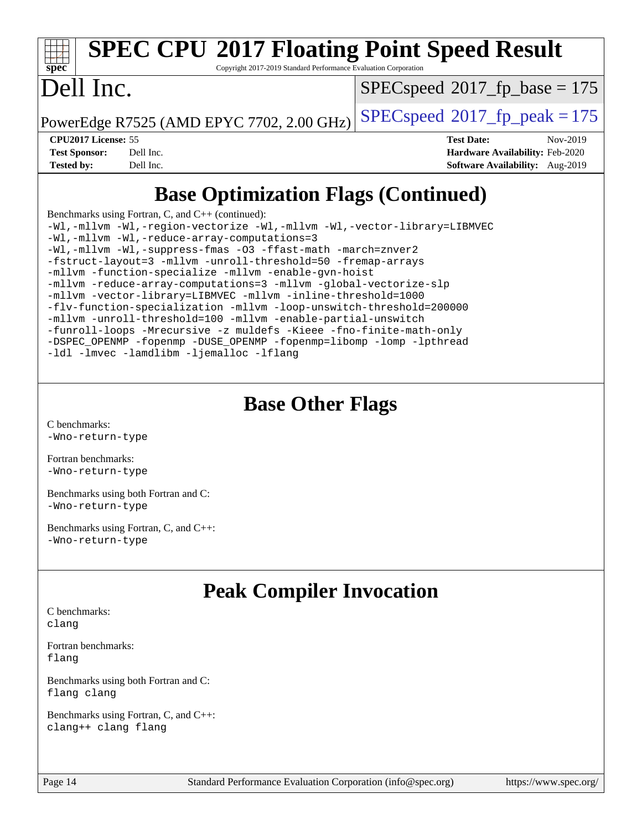Copyright 2017-2019 Standard Performance Evaluation Corporation

### Dell Inc.

**[spec](http://www.spec.org/)**

[SPECspeed](http://www.spec.org/auto/cpu2017/Docs/result-fields.html#SPECspeed2017fpbase)<sup>®</sup>2017 fp base = 175

PowerEdge R7525 (AMD EPYC 7702, 2.00 GHz)  $\left|$  [SPECspeed](http://www.spec.org/auto/cpu2017/Docs/result-fields.html#SPECspeed2017fppeak)®[2017\\_fp\\_peak = 1](http://www.spec.org/auto/cpu2017/Docs/result-fields.html#SPECspeed2017fppeak)75

**[CPU2017 License:](http://www.spec.org/auto/cpu2017/Docs/result-fields.html#CPU2017License)** 55 **[Test Date:](http://www.spec.org/auto/cpu2017/Docs/result-fields.html#TestDate)** Nov-2019 **[Test Sponsor:](http://www.spec.org/auto/cpu2017/Docs/result-fields.html#TestSponsor)** Dell Inc. **[Hardware Availability:](http://www.spec.org/auto/cpu2017/Docs/result-fields.html#HardwareAvailability)** Feb-2020 **[Tested by:](http://www.spec.org/auto/cpu2017/Docs/result-fields.html#Testedby)** Dell Inc. **[Software Availability:](http://www.spec.org/auto/cpu2017/Docs/result-fields.html#SoftwareAvailability)** Aug-2019

### **[Base Optimization Flags \(Continued\)](http://www.spec.org/auto/cpu2017/Docs/result-fields.html#BaseOptimizationFlags)**

[Benchmarks using Fortran, C, and C++](http://www.spec.org/auto/cpu2017/Docs/result-fields.html#BenchmarksusingFortranCandCXX) (continued): [-Wl,-mllvm -Wl,-region-vectorize](http://www.spec.org/cpu2017/results/res2019q4/cpu2017-20191208-20200.flags.html#user_CC_CXX_FCbase_F-region-vectorize_fb6c6b5aa293c88efc6c7c2b52b20755e943585b1fe8658c35afef78727fff56e1a56891413c30e36b8e2a6f9a71126986319243e80eb6110b78b288f533c52b) [-Wl,-mllvm -Wl,-vector-library=LIBMVEC](http://www.spec.org/cpu2017/results/res2019q4/cpu2017-20191208-20200.flags.html#user_CC_CXX_FCbase_F-use-vector-library_0a14b27fae317f283640384a31f7bfcc2bd4c1d0b5cfc618a3a430800c9b20217b00f61303eff223a3251b4f06ffbc9739dc5296db9d1fbb9ad24a3939d86d66) [-Wl,-mllvm -Wl,-reduce-array-computations=3](http://www.spec.org/cpu2017/results/res2019q4/cpu2017-20191208-20200.flags.html#user_CC_CXX_FCbase_F-reduce-array-computations_b882aefe7a5dda4e33149f6299762b9a720dace3e498e13756f4c04e5a19edf5315c1f3993de2e61ec41e8c206231f84e05da7040e1bb5d69ba27d10a12507e4) [-Wl,-mllvm -Wl,-suppress-fmas](http://www.spec.org/cpu2017/results/res2019q4/cpu2017-20191208-20200.flags.html#user_CC_CXX_FCbase_F-suppress-fmas_f00f00630e4a059e8af9c161e9bbf420bcf19890a7f99d5933525e66aa4b0bb3ab2339d2b12d97d3a5f5d271e839fe9c109938e91fe06230fb53651590cfa1e8) [-O3](http://www.spec.org/cpu2017/results/res2019q4/cpu2017-20191208-20200.flags.html#user_CC_CXX_FCbase_F-O3) [-ffast-math](http://www.spec.org/cpu2017/results/res2019q4/cpu2017-20191208-20200.flags.html#user_CC_CXX_FCbase_aocc-ffast-math) [-march=znver2](http://www.spec.org/cpu2017/results/res2019q4/cpu2017-20191208-20200.flags.html#user_CC_CXX_FCbase_aocc-march_3e2e19cff2eeef60c5d90b059483627c9ea47eca6d66670dbd53f9185f6439e27eb5e104cf773e9e8ab18c8842ce63e461a3e948d0214bd567ef3ade411bf467) [-fstruct-layout=3](http://www.spec.org/cpu2017/results/res2019q4/cpu2017-20191208-20200.flags.html#user_CC_CXX_FCbase_F-struct-layout) [-mllvm -unroll-threshold=50](http://www.spec.org/cpu2017/results/res2019q4/cpu2017-20191208-20200.flags.html#user_CC_CXX_FCbase_F-unroll-threshold_458874500b2c105d6d5cb4d7a611c40e2b16e9e3d26b355fea72d644c3673b4de4b3932662f0ed3dbec75c491a13da2d2ca81180bd779dc531083ef1e1e549dc) [-fremap-arrays](http://www.spec.org/cpu2017/results/res2019q4/cpu2017-20191208-20200.flags.html#user_CC_CXX_FCbase_F-fremap-arrays) [-mllvm -function-specialize](http://www.spec.org/cpu2017/results/res2019q4/cpu2017-20191208-20200.flags.html#user_CC_CXX_FCbase_F-function-specialize_233b3bdba86027f1b094368157e481c5bc59f40286dc25bfadc1858dcd5745c24fd30d5f188710db7fea399bcc9f44a80b3ce3aacc70a8870250c3ae5e1f35b8) [-mllvm -enable-gvn-hoist](http://www.spec.org/cpu2017/results/res2019q4/cpu2017-20191208-20200.flags.html#user_CC_CXX_FCbase_F-enable-gvn-hoist_e5856354646dd6ca1333a0ad99b817e4cf8932b91b82809fd8fd47ceff7b22a89eba5c98fd3e3fa5200368fd772cec3dd56abc3c8f7b655a71b9f9848dddedd5) [-mllvm -reduce-array-computations=3](http://www.spec.org/cpu2017/results/res2019q4/cpu2017-20191208-20200.flags.html#user_CC_CXX_FCbase_F-reduce-array-computations_aceadb8604558b566e0e3a0d7a3c1533923dd1fa0889614e16288028922629a28d5695c24d3b3be4306b1e311c54317dfffe3a2e57fbcaabc737a1798de39145) [-mllvm -global-vectorize-slp](http://www.spec.org/cpu2017/results/res2019q4/cpu2017-20191208-20200.flags.html#user_CC_CXX_FCbase_F-global-vectorize-slp_a3935e8627af4ced727033b1ffd4db27f4d541a363d28d82bf4c2925fb3a0fd4115d6e42d13a2829f9e024d6608eb67a85cb49770f2da5c5ac8dbc737afad603) [-mllvm -vector-library=LIBMVEC](http://www.spec.org/cpu2017/results/res2019q4/cpu2017-20191208-20200.flags.html#user_CC_CXX_FCbase_F-use-vector-library_e584e20b4f7ec96aa109254b65d8e01d864f3d68580371b9d93ed7c338191d4cfce20c3c864632264effc6bbe4c7c38153d02096a342ee92501c4a53204a7871) [-mllvm -inline-threshold=1000](http://www.spec.org/cpu2017/results/res2019q4/cpu2017-20191208-20200.flags.html#user_CC_CXX_FCbase_dragonegg-llvm-inline-threshold_b7832241b0a6397e4ecdbaf0eb7defdc10f885c2a282fa3240fdc99844d543fda39cf8a4a9dccf68cf19b5438ac3b455264f478df15da0f4988afa40d8243bab) [-flv-function-specialization](http://www.spec.org/cpu2017/results/res2019q4/cpu2017-20191208-20200.flags.html#user_CC_CXX_FCbase_F-flv-function-specialization) [-mllvm -loop-unswitch-threshold=200000](http://www.spec.org/cpu2017/results/res2019q4/cpu2017-20191208-20200.flags.html#user_CC_CXX_FCbase_F-loop-unswitch-threshold_f9a82ae3270e55b5fbf79d0d96ee93606b73edbbe527d20b18b7bff1a3a146ad50cfc7454c5297978340ae9213029016a7d16221274d672d3f7f42ed25274e1d) [-mllvm -unroll-threshold=100](http://www.spec.org/cpu2017/results/res2019q4/cpu2017-20191208-20200.flags.html#user_CC_CXX_FCbase_F-unroll-threshold_2755d0c78138845d361fa1543e3a063fffa198df9b3edf0cfb856bbc88a81e1769b12ac7a550c5d35197be55360db1a3f95a8d1304df999456cabf5120c45168) [-mllvm -enable-partial-unswitch](http://www.spec.org/cpu2017/results/res2019q4/cpu2017-20191208-20200.flags.html#user_CC_CXX_FCbase_F-enable-partial-unswitch_6e1c33f981d77963b1eaf834973128a7f33ce3f8e27f54689656697a35e89dcc875281e0e6283d043e32f367dcb605ba0e307a92e830f7e326789fa6c61b35d3) [-funroll-loops](http://www.spec.org/cpu2017/results/res2019q4/cpu2017-20191208-20200.flags.html#user_CC_CXX_FCbase_aocc-unroll-loops) [-Mrecursive](http://www.spec.org/cpu2017/results/res2019q4/cpu2017-20191208-20200.flags.html#user_CC_CXX_FCbase_F-mrecursive_20a145d63f12d5750a899e17d4450b5b8b40330a9bb4af13688ca650e6fb30857bbbe44fb35cdbb895df6e5b2769de0a0d7659f51ff17acfbef6febafec4023f) [-z muldefs](http://www.spec.org/cpu2017/results/res2019q4/cpu2017-20191208-20200.flags.html#user_CC_CXX_FCbase_aocc-muldefs) [-Kieee](http://www.spec.org/cpu2017/results/res2019q4/cpu2017-20191208-20200.flags.html#user_CC_CXX_FCbase_F-kieee) [-fno-finite-math-only](http://www.spec.org/cpu2017/results/res2019q4/cpu2017-20191208-20200.flags.html#user_CC_CXX_FCbase_aocc-fno-finite-math-only) [-DSPEC\\_OPENMP](http://www.spec.org/cpu2017/results/res2019q4/cpu2017-20191208-20200.flags.html#suite_CC_CXX_FCbase_DSPEC_OPENMP) [-fopenmp](http://www.spec.org/cpu2017/results/res2019q4/cpu2017-20191208-20200.flags.html#user_CC_CXX_FCbase_aocc-fopenmp) [-DUSE\\_OPENMP](http://www.spec.org/cpu2017/results/res2019q4/cpu2017-20191208-20200.flags.html#user_CC_CXX_FCbase_F-DUSE_OPENMP) [-fopenmp=libomp](http://www.spec.org/cpu2017/results/res2019q4/cpu2017-20191208-20200.flags.html#user_CC_CXX_FCbase_aocc-fopenmp_3eb6ab80166bcc84161ff8c20c8d5bc344f88119f45620444596454f7d72e99b7a0ceefc2d1b4d190bd07306bbfdfc20f11f5a2dc69c9b03c72239f8406741c3) [-lomp](http://www.spec.org/cpu2017/results/res2019q4/cpu2017-20191208-20200.flags.html#user_CC_CXX_FCbase_F-lomp) [-lpthread](http://www.spec.org/cpu2017/results/res2019q4/cpu2017-20191208-20200.flags.html#user_CC_CXX_FCbase_F-lpthread) [-ldl](http://www.spec.org/cpu2017/results/res2019q4/cpu2017-20191208-20200.flags.html#user_CC_CXX_FCbase_F-ldl) [-lmvec](http://www.spec.org/cpu2017/results/res2019q4/cpu2017-20191208-20200.flags.html#user_CC_CXX_FCbase_F-lmvec) [-lamdlibm](http://www.spec.org/cpu2017/results/res2019q4/cpu2017-20191208-20200.flags.html#user_CC_CXX_FCbase_F-lamdlibm) [-ljemalloc](http://www.spec.org/cpu2017/results/res2019q4/cpu2017-20191208-20200.flags.html#user_CC_CXX_FCbase_jemalloc-lib) [-lflang](http://www.spec.org/cpu2017/results/res2019q4/cpu2017-20191208-20200.flags.html#user_CC_CXX_FCbase_F-lflang)

### **[Base Other Flags](http://www.spec.org/auto/cpu2017/Docs/result-fields.html#BaseOtherFlags)**

[C benchmarks](http://www.spec.org/auto/cpu2017/Docs/result-fields.html#Cbenchmarks): [-Wno-return-type](http://www.spec.org/cpu2017/results/res2019q4/cpu2017-20191208-20200.flags.html#user_CCbase_F-Waocc-no-return-type)

[Fortran benchmarks](http://www.spec.org/auto/cpu2017/Docs/result-fields.html#Fortranbenchmarks): [-Wno-return-type](http://www.spec.org/cpu2017/results/res2019q4/cpu2017-20191208-20200.flags.html#user_FCbase_F-Waocc-no-return-type)

[Benchmarks using both Fortran and C](http://www.spec.org/auto/cpu2017/Docs/result-fields.html#BenchmarksusingbothFortranandC): [-Wno-return-type](http://www.spec.org/cpu2017/results/res2019q4/cpu2017-20191208-20200.flags.html#user_CC_FCbase_F-Waocc-no-return-type)

[Benchmarks using Fortran, C, and C++:](http://www.spec.org/auto/cpu2017/Docs/result-fields.html#BenchmarksusingFortranCandCXX) [-Wno-return-type](http://www.spec.org/cpu2017/results/res2019q4/cpu2017-20191208-20200.flags.html#user_CC_CXX_FCbase_F-Waocc-no-return-type)

### **[Peak Compiler Invocation](http://www.spec.org/auto/cpu2017/Docs/result-fields.html#PeakCompilerInvocation)**

[C benchmarks](http://www.spec.org/auto/cpu2017/Docs/result-fields.html#Cbenchmarks): [clang](http://www.spec.org/cpu2017/results/res2019q4/cpu2017-20191208-20200.flags.html#user_CCpeak_clang-c)

[Fortran benchmarks](http://www.spec.org/auto/cpu2017/Docs/result-fields.html#Fortranbenchmarks): [flang](http://www.spec.org/cpu2017/results/res2019q4/cpu2017-20191208-20200.flags.html#user_FCpeak_flang)

[Benchmarks using both Fortran and C](http://www.spec.org/auto/cpu2017/Docs/result-fields.html#BenchmarksusingbothFortranandC): [flang](http://www.spec.org/cpu2017/results/res2019q4/cpu2017-20191208-20200.flags.html#user_CC_FCpeak_flang) [clang](http://www.spec.org/cpu2017/results/res2019q4/cpu2017-20191208-20200.flags.html#user_CC_FCpeak_clang-c)

[Benchmarks using Fortran, C, and C++:](http://www.spec.org/auto/cpu2017/Docs/result-fields.html#BenchmarksusingFortranCandCXX) [clang++](http://www.spec.org/cpu2017/results/res2019q4/cpu2017-20191208-20200.flags.html#user_CC_CXX_FCpeak_clang-cpp) [clang](http://www.spec.org/cpu2017/results/res2019q4/cpu2017-20191208-20200.flags.html#user_CC_CXX_FCpeak_clang-c) [flang](http://www.spec.org/cpu2017/results/res2019q4/cpu2017-20191208-20200.flags.html#user_CC_CXX_FCpeak_flang)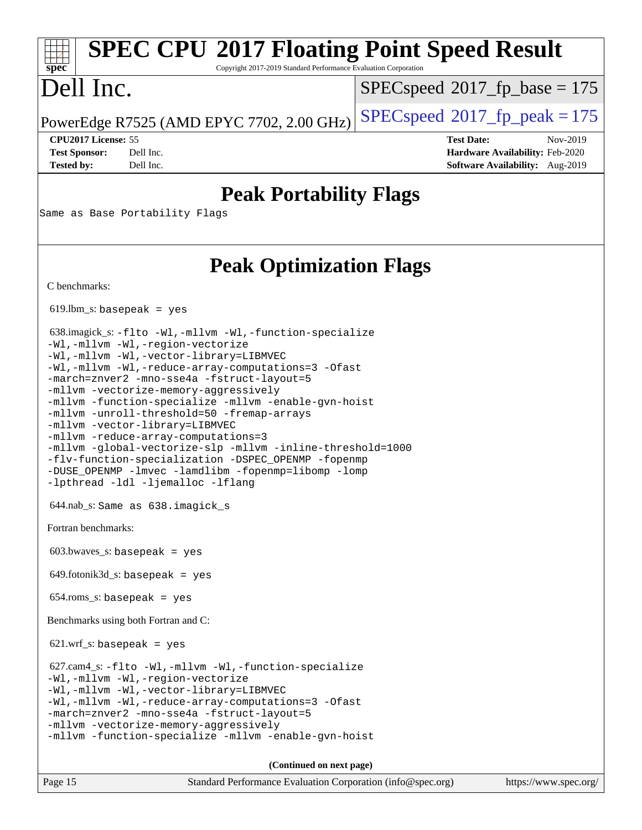Copyright 2017-2019 Standard Performance Evaluation Corporation

### Dell Inc.

**[spec](http://www.spec.org/)**

[SPECspeed](http://www.spec.org/auto/cpu2017/Docs/result-fields.html#SPECspeed2017fpbase)<sup>®</sup>2017 fp base = 175

PowerEdge R7525 (AMD EPYC 7702, 2.00 GHz)  $\left|$  [SPECspeed](http://www.spec.org/auto/cpu2017/Docs/result-fields.html#SPECspeed2017fppeak)®[2017\\_fp\\_peak = 1](http://www.spec.org/auto/cpu2017/Docs/result-fields.html#SPECspeed2017fppeak)75

**[Tested by:](http://www.spec.org/auto/cpu2017/Docs/result-fields.html#Testedby)** Dell Inc. **[Software Availability:](http://www.spec.org/auto/cpu2017/Docs/result-fields.html#SoftwareAvailability)** Aug-2019

**[CPU2017 License:](http://www.spec.org/auto/cpu2017/Docs/result-fields.html#CPU2017License)** 55 **[Test Date:](http://www.spec.org/auto/cpu2017/Docs/result-fields.html#TestDate)** Nov-2019 **[Test Sponsor:](http://www.spec.org/auto/cpu2017/Docs/result-fields.html#TestSponsor)** Dell Inc. **[Hardware Availability:](http://www.spec.org/auto/cpu2017/Docs/result-fields.html#HardwareAvailability)** Feb-2020

### **[Peak Portability Flags](http://www.spec.org/auto/cpu2017/Docs/result-fields.html#PeakPortabilityFlags)**

Same as Base Portability Flags

### **[Peak Optimization Flags](http://www.spec.org/auto/cpu2017/Docs/result-fields.html#PeakOptimizationFlags)**

**(Continued on next page)**

[C benchmarks](http://www.spec.org/auto/cpu2017/Docs/result-fields.html#Cbenchmarks):

 $619.$ lbm\_s: basepeak = yes

```
 638.imagick_s: -flto -Wl,-mllvm -Wl,-function-specialize
-Wl,-mllvm -Wl,-region-vectorize
-Wl,-mllvm -Wl,-vector-library=LIBMVEC
-Wl,-mllvm -Wl,-reduce-array-computations=3 -Ofast
-march=znver2 -mno-sse4a -fstruct-layout=5
-mllvm -vectorize-memory-aggressively
-mllvm -function-specialize -mllvm -enable-gvn-hoist
-mllvm -unroll-threshold=50 -fremap-arrays
-mllvm -vector-library=LIBMVEC
-mllvm -reduce-array-computations=3
-mllvm -global-vectorize-slp -mllvm -inline-threshold=1000
-flv-function-specialization -DSPEC_OPENMP -fopenmp
-DUSE_OPENMP -lmvec -lamdlibm -fopenmp=libomp -lomp
-lpthread -ldl -ljemalloc -lflang
 644.nab_s: Same as 638.imagick_s
Fortran benchmarks: 
603.bwaves s: basepeak = yes
649.fotonik3d<sub>-</sub>s: basepeak = yes
 654.roms_s: basepeak = yes
Benchmarks using both Fortran and C: 
621.wrf_s: basepeak = yes
 627.cam4_s: -flto -Wl,-mllvm -Wl,-function-specialize
-Wl,-mllvm -Wl,-region-vectorize
-Wl,-mllvm -Wl,-vector-library=LIBMVEC
-Wl,-mllvm -Wl,-reduce-array-computations=3 -Ofast
-march=znver2 -mno-sse4a -fstruct-layout=5
-mllvm -vectorize-memory-aggressively
-mllvm -function-specialize -mllvm -enable-gvn-hoist
```
Page 15 Standard Performance Evaluation Corporation [\(info@spec.org\)](mailto:info@spec.org) <https://www.spec.org/>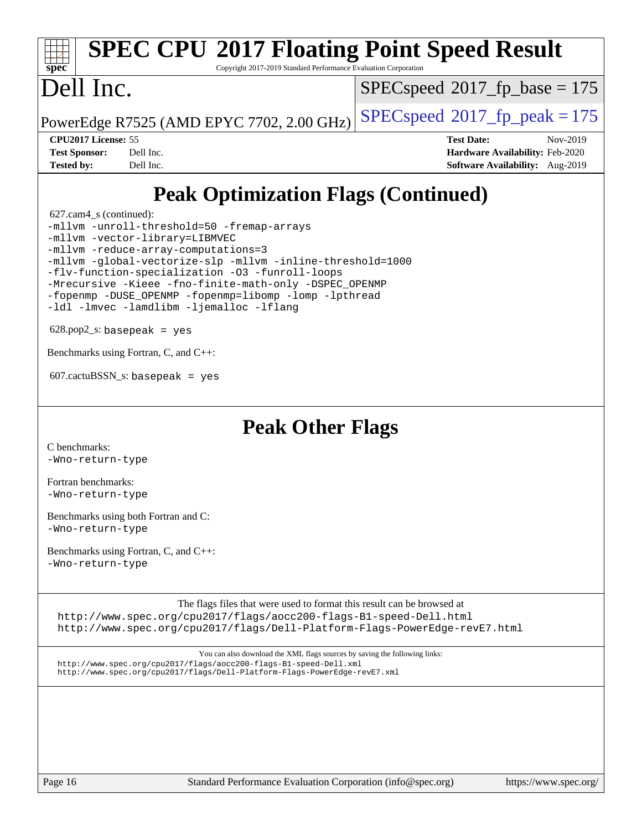#### **[spec](http://www.spec.org/) [SPEC CPU](http://www.spec.org/auto/cpu2017/Docs/result-fields.html#SPECCPU2017FloatingPointSpeedResult)[2017 Floating Point Speed Result](http://www.spec.org/auto/cpu2017/Docs/result-fields.html#SPECCPU2017FloatingPointSpeedResult)** Copyright 2017-2019 Standard Performance Evaluation Corporation Dell Inc. [SPECspeed](http://www.spec.org/auto/cpu2017/Docs/result-fields.html#SPECspeed2017fpbase)<sup>®</sup>2017 fp base = 175

PowerEdge R7525 (AMD EPYC 7702, 2.00 GHz)  $\left|$  [SPECspeed](http://www.spec.org/auto/cpu2017/Docs/result-fields.html#SPECspeed2017fppeak)®[2017\\_fp\\_peak = 1](http://www.spec.org/auto/cpu2017/Docs/result-fields.html#SPECspeed2017fppeak)75

**[CPU2017 License:](http://www.spec.org/auto/cpu2017/Docs/result-fields.html#CPU2017License)** 55 **[Test Date:](http://www.spec.org/auto/cpu2017/Docs/result-fields.html#TestDate)** Nov-2019 **[Test Sponsor:](http://www.spec.org/auto/cpu2017/Docs/result-fields.html#TestSponsor)** Dell Inc. **[Hardware Availability:](http://www.spec.org/auto/cpu2017/Docs/result-fields.html#HardwareAvailability)** Feb-2020 **[Tested by:](http://www.spec.org/auto/cpu2017/Docs/result-fields.html#Testedby)** Dell Inc. **[Software Availability:](http://www.spec.org/auto/cpu2017/Docs/result-fields.html#SoftwareAvailability)** Aug-2019

### **[Peak Optimization Flags \(Continued\)](http://www.spec.org/auto/cpu2017/Docs/result-fields.html#PeakOptimizationFlags)**

627.cam4\_s (continued):

[-mllvm -unroll-threshold=50](http://www.spec.org/cpu2017/results/res2019q4/cpu2017-20191208-20200.flags.html#user_peakCOPTIMIZE627_cam4_s_F-unroll-threshold_458874500b2c105d6d5cb4d7a611c40e2b16e9e3d26b355fea72d644c3673b4de4b3932662f0ed3dbec75c491a13da2d2ca81180bd779dc531083ef1e1e549dc) [-fremap-arrays](http://www.spec.org/cpu2017/results/res2019q4/cpu2017-20191208-20200.flags.html#user_peakCOPTIMIZE627_cam4_s_F-fremap-arrays) [-mllvm -vector-library=LIBMVEC](http://www.spec.org/cpu2017/results/res2019q4/cpu2017-20191208-20200.flags.html#user_peakCOPTIMIZEFOPTIMIZE627_cam4_s_F-use-vector-library_e584e20b4f7ec96aa109254b65d8e01d864f3d68580371b9d93ed7c338191d4cfce20c3c864632264effc6bbe4c7c38153d02096a342ee92501c4a53204a7871) [-mllvm -reduce-array-computations=3](http://www.spec.org/cpu2017/results/res2019q4/cpu2017-20191208-20200.flags.html#user_peakCOPTIMIZE627_cam4_s_F-reduce-array-computations_aceadb8604558b566e0e3a0d7a3c1533923dd1fa0889614e16288028922629a28d5695c24d3b3be4306b1e311c54317dfffe3a2e57fbcaabc737a1798de39145) [-mllvm -global-vectorize-slp](http://www.spec.org/cpu2017/results/res2019q4/cpu2017-20191208-20200.flags.html#user_peakCOPTIMIZE627_cam4_s_F-global-vectorize-slp_a3935e8627af4ced727033b1ffd4db27f4d541a363d28d82bf4c2925fb3a0fd4115d6e42d13a2829f9e024d6608eb67a85cb49770f2da5c5ac8dbc737afad603) [-mllvm -inline-threshold=1000](http://www.spec.org/cpu2017/results/res2019q4/cpu2017-20191208-20200.flags.html#user_peakCOPTIMIZE627_cam4_s_dragonegg-llvm-inline-threshold_b7832241b0a6397e4ecdbaf0eb7defdc10f885c2a282fa3240fdc99844d543fda39cf8a4a9dccf68cf19b5438ac3b455264f478df15da0f4988afa40d8243bab) [-flv-function-specialization](http://www.spec.org/cpu2017/results/res2019q4/cpu2017-20191208-20200.flags.html#user_peakCOPTIMIZE627_cam4_s_F-flv-function-specialization) [-O3](http://www.spec.org/cpu2017/results/res2019q4/cpu2017-20191208-20200.flags.html#user_peakFOPTIMIZE627_cam4_s_F-O3) [-funroll-loops](http://www.spec.org/cpu2017/results/res2019q4/cpu2017-20191208-20200.flags.html#user_peakFOPTIMIZE627_cam4_s_aocc-unroll-loops) [-Mrecursive](http://www.spec.org/cpu2017/results/res2019q4/cpu2017-20191208-20200.flags.html#user_peakFOPTIMIZE627_cam4_s_F-mrecursive_20a145d63f12d5750a899e17d4450b5b8b40330a9bb4af13688ca650e6fb30857bbbe44fb35cdbb895df6e5b2769de0a0d7659f51ff17acfbef6febafec4023f) [-Kieee](http://www.spec.org/cpu2017/results/res2019q4/cpu2017-20191208-20200.flags.html#user_peakEXTRA_FFLAGS627_cam4_s_F-kieee) [-fno-finite-math-only](http://www.spec.org/cpu2017/results/res2019q4/cpu2017-20191208-20200.flags.html#user_peakEXTRA_FFLAGS627_cam4_s_aocc-fno-finite-math-only) [-DSPEC\\_OPENMP](http://www.spec.org/cpu2017/results/res2019q4/cpu2017-20191208-20200.flags.html#suite_peakEXTRA_OPTIMIZE627_cam4_s_DSPEC_OPENMP) [-fopenmp](http://www.spec.org/cpu2017/results/res2019q4/cpu2017-20191208-20200.flags.html#user_peakEXTRA_OPTIMIZE627_cam4_s_aocc-fopenmp) [-DUSE\\_OPENMP](http://www.spec.org/cpu2017/results/res2019q4/cpu2017-20191208-20200.flags.html#user_peakEXTRA_OPTIMIZE627_cam4_s_F-DUSE_OPENMP) [-fopenmp=libomp](http://www.spec.org/cpu2017/results/res2019q4/cpu2017-20191208-20200.flags.html#user_peakEXTRA_LIBS627_cam4_s_aocc-fopenmp_3eb6ab80166bcc84161ff8c20c8d5bc344f88119f45620444596454f7d72e99b7a0ceefc2d1b4d190bd07306bbfdfc20f11f5a2dc69c9b03c72239f8406741c3) [-lomp](http://www.spec.org/cpu2017/results/res2019q4/cpu2017-20191208-20200.flags.html#user_peakEXTRA_LIBS627_cam4_s_F-lomp) [-lpthread](http://www.spec.org/cpu2017/results/res2019q4/cpu2017-20191208-20200.flags.html#user_peakEXTRA_LIBS627_cam4_s_F-lpthread) [-ldl](http://www.spec.org/cpu2017/results/res2019q4/cpu2017-20191208-20200.flags.html#user_peakEXTRA_LIBS627_cam4_s_F-ldl) [-lmvec](http://www.spec.org/cpu2017/results/res2019q4/cpu2017-20191208-20200.flags.html#user_peakEXTRA_FLIBSEXTRA_LIBS627_cam4_s_F-lmvec) [-lamdlibm](http://www.spec.org/cpu2017/results/res2019q4/cpu2017-20191208-20200.flags.html#user_peakEXTRA_FLIBSEXTRA_LIBS627_cam4_s_F-lamdlibm) [-ljemalloc](http://www.spec.org/cpu2017/results/res2019q4/cpu2017-20191208-20200.flags.html#user_peakEXTRA_LIBS627_cam4_s_jemalloc-lib) [-lflang](http://www.spec.org/cpu2017/results/res2019q4/cpu2017-20191208-20200.flags.html#user_peakEXTRA_LIBS627_cam4_s_F-lflang)

 $628.$ pop2\_s: basepeak = yes

[Benchmarks using Fortran, C, and C++:](http://www.spec.org/auto/cpu2017/Docs/result-fields.html#BenchmarksusingFortranCandCXX)

 $607.cactuBSSN_s$ : basepeak = yes

**[Peak Other Flags](http://www.spec.org/auto/cpu2017/Docs/result-fields.html#PeakOtherFlags)**

[C benchmarks](http://www.spec.org/auto/cpu2017/Docs/result-fields.html#Cbenchmarks): [-Wno-return-type](http://www.spec.org/cpu2017/results/res2019q4/cpu2017-20191208-20200.flags.html#user_CCpeak_F-Waocc-no-return-type)

[Fortran benchmarks](http://www.spec.org/auto/cpu2017/Docs/result-fields.html#Fortranbenchmarks): [-Wno-return-type](http://www.spec.org/cpu2017/results/res2019q4/cpu2017-20191208-20200.flags.html#user_FCpeak_F-Waocc-no-return-type)

[Benchmarks using both Fortran and C](http://www.spec.org/auto/cpu2017/Docs/result-fields.html#BenchmarksusingbothFortranandC): [-Wno-return-type](http://www.spec.org/cpu2017/results/res2019q4/cpu2017-20191208-20200.flags.html#user_CC_FCpeak_F-Waocc-no-return-type)

[Benchmarks using Fortran, C, and C++:](http://www.spec.org/auto/cpu2017/Docs/result-fields.html#BenchmarksusingFortranCandCXX) [-Wno-return-type](http://www.spec.org/cpu2017/results/res2019q4/cpu2017-20191208-20200.flags.html#user_CC_CXX_FCpeak_F-Waocc-no-return-type)

[The flags files that were used to format this result can be browsed at](tmsearch)

<http://www.spec.org/cpu2017/flags/aocc200-flags-B1-speed-Dell.html> <http://www.spec.org/cpu2017/flags/Dell-Platform-Flags-PowerEdge-revE7.html>

[You can also download the XML flags sources by saving the following links:](tmsearch) <http://www.spec.org/cpu2017/flags/aocc200-flags-B1-speed-Dell.xml> <http://www.spec.org/cpu2017/flags/Dell-Platform-Flags-PowerEdge-revE7.xml>